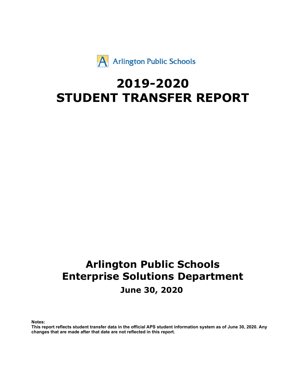$\#$  \$

 $\vert$ 

 $\frac{1}{2}$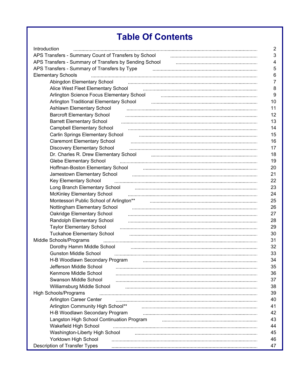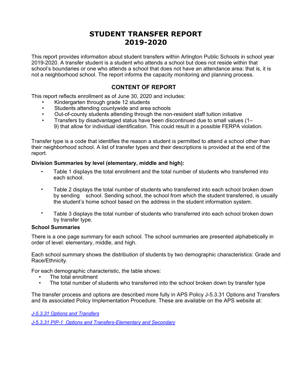<span id="page-2-0"></span>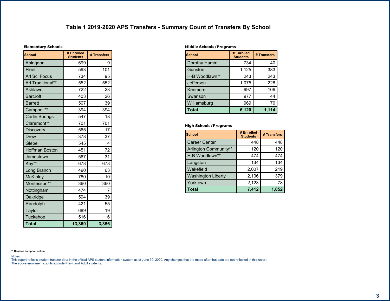$\pm$  ,

 $\overline{(\ }$ 

| ı | Ó |
|---|---|
|   |   |

<span id="page-3-0"></span>

| ļ<br>$\%$                                        |                              |                         |
|--------------------------------------------------|------------------------------|-------------------------|
|                                                  | $/$ #                        | $\overline{I}$          |
|                                                  | $\prec$                      |                         |
| ,                                                | $\overline{\mathbf{c}}$<br>ò |                         |
| ,                                                | $=$ %                        | $\overline{\mathbf{c}}$ |
|                                                  | 22                           | $\overline{2}$ 2        |
|                                                  | $=$                          | $\overline{9}$          |
| 5                                                | o<br>$\geq$                  | $\prec$                 |
| 5                                                | $\overline{\mathbf{c}}$      | $\%$                    |
| 6<br>44                                          | $\%$                         | $\%$                    |
| 6                                                | 2 >                          | ?                       |
| 44<br>6                                          | $=$                          | $=$                     |
| $\overline{7}$                                   | 2 <                          |                         |
| $\overline{7}$                                   | $\frac{9}{6}$ =              | $\%$                    |
| $\mathbf 0$                                      | 2 >                          | $\geq$                  |
| 5<br>8                                           | > 2                          | $=$                     |
| $\overline{\mathcal{L}}$                         | $\overline{2}$               | $\%$                    |
| ł,<br>44                                         | $\leq$ $=$                   | $\leq \leq$             |
| 9<br>5                                           | $\geq$                       | $\,<$                   |
| $\mathbf{I}$<br>$\vdots$                         | $= ?$                        |                         |
| $\vdots$<br>44                                   | % <                          | $\%$                    |
| ;                                                | $>$ $=$                      |                         |
| $\sqrt{\phantom{a}}$<br>$\overline{\mathcal{L}}$ | $\overline{\mathbf{c}}$      | $\%$                    |
|                                                  | $\geq$                       | 21                      |

| $\mathbf{L}$<br>&        |              |    |         |       |
|--------------------------|--------------|----|---------|-------|
|                          |              |    | $/$ #   |       |
|                          | $\mathsf{R}$ |    | $=$ %   | ↘     |
| $\Omega$                 |              |    | $\#$    | $%$ ? |
| $8\phantom{.}$<br>5A     |              | 44 | >       | >     |
| $\overline{\mathcal{L}}$ |              |    | $\#$    |       |
|                          |              |    |         |       |
|                          |              |    |         | >     |
| A                        |              |    | $\,<\,$ |       |
|                          |              |    |         | 4     |

 $\mathcal{L}(\mathcal{L})$  and  $\mathcal{L}(\mathcal{L})$  .

 $($   $\frac{1}{2}$  $\rightarrow$ 

 $\sim$  100  $\mu$  m  $^{-1}$  .

|             | #                   |            |
|-------------|---------------------|------------|
| 6<br>6      | >                   | >          |
| 6           |                     |            |
| 8 5 A<br>44 | $>$ $=$             | $\geq$ $=$ |
| q           | %                   | %          |
| A           | #                   |            |
| А<br>ი      | #                   | $\%$       |
| B           | #                   |            |
|             | 3<br>$\overline{2}$ |            |

55 &  $\frac{1}{2}$  ,  $\frac{1}{2}$  ,  $\frac{1}{2}$ 

 $\overline{1}$ 

 $\sim 10^{11}$  km  $^{\circledR}$ 

 $\overline{\left\langle \cdot \right\rangle}$  $\overline{2}$ 

 $\overline{0}$ 

⊲

 $\overline{1}$ 

 $$ \t% \t#$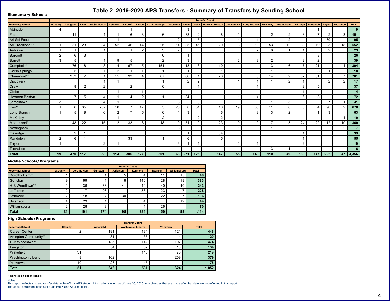| $\frac{9}{6}$                                            |      |                          | $\mathbb{S}$   | S              | 6 <sup>6</sup> | $\sim$             | $\sim$         |                | &  | 867                |                | $\begin{array}{c} \begin{array}{c} \end{array}$<br><b>Carlos</b> | $6 \mid 9$ | <b>Contract</b> | VII.           |               | it is a            | $\%$          |               |               |                 |
|----------------------------------------------------------|------|--------------------------|----------------|----------------|----------------|--------------------|----------------|----------------|----|--------------------|----------------|------------------------------------------------------------------|------------|-----------------|----------------|---------------|--------------------|---------------|---------------|---------------|-----------------|
|                                                          | >1   |                          |                |                |                |                    |                |                |    | %                  |                |                                                                  |            |                 |                |               |                    |               |               |               |                 |
|                                                          |      |                          |                |                |                |                    | $\frac{1}{2}$  | ≺              |    | $%$ 1              |                | $\overline{\mathcal{L}}$                                         |            |                 |                |               | $\mathcal{P}$      |               |               | $\frac{9}{4}$ |                 |
|                                                          |      |                          |                |                |                |                    |                |                |    |                    | $\overline{2}$ |                                                                  | >          |                 |                |               |                    |               | $\cdot$ ?     |               | $\ddot{}$       |
| 44                                                       |      | %                        | $O_{\rm c}$    | %              | 2              | > 4                | > >            | $\overline{2}$ | >1 | %1                 | >2             |                                                                  | $\Omega$   |                 | 2 <sup>o</sup> |               | %                  |               | %             | $\mathcal{P}$ | 11              |
|                                                          |      |                          |                |                |                |                    |                | $\frac{0}{6}$  |    |                    |                |                                                                  |            |                 |                |               |                    |               |               |               |                 |
| $5\overline{5}$                                          |      | $\prec$                  | $O_{\rm c}$    |                |                |                    |                |                |    |                    |                |                                                                  |            |                 |                |               |                    | $\mathcal{L}$ |               |               |                 |
| $5\overline{5}$                                          | %    | $\overline{2}$           |                |                |                | <sup>2</sup>       |                |                |    | %                  |                |                                                                  |            | O/              |                |               |                    |               |               |               |                 |
| 6<br>44                                                  |      | $=$ $\triangleleft$      | $\gamma$       | $O_{\ell}$     | $\geq$         | $\prec \exists$    | $\overline{2}$ | 2              |    | 21                 | $\frac{1}{2}$  |                                                                  |            |                 | %              |               | $\equiv$           |               |               |               | $+2$            |
| 6                                                        |      | $\overline{2}$           |                |                |                |                    |                |                |    |                    |                |                                                                  |            |                 |                |               |                    | $\frac{1}{2}$ |               |               |                 |
| 6<br>44                                                  |      | 2 <sup>9</sup>           | $=$            |                | $\vert$ 2      | %                  | $\geq$         | — < ⊨          |    | $\prec$ d          |                | 21                                                               |            | %               | $\geq$         |               | $\overline{?}$     | 2             |               | $=$           | 3 <sup>2</sup>  |
| $\overline{7}$                                           |      |                          |                |                |                |                    |                |                |    |                    |                |                                                                  |            |                 |                |               |                    |               |               |               |                 |
| $\overline{7}$                                           |      | $\gamma$                 |                |                |                |                    |                |                |    |                    |                |                                                                  |            |                 |                |               |                    | 2             |               |               |                 |
| $\overline{0}$                                           |      |                          |                |                |                |                    |                |                |    |                    |                |                                                                  |            |                 |                |               |                    |               |               |               |                 |
| 8<br>5 <sup>5</sup>                                      |      | $\, =$                   | $\overline{2}$ | >              |                | >l                 |                |                |    | $%$ $\overline{ }$ |                |                                                                  |            | >               |                |               | ≺                  | %             |               |               | 3 <sup>2</sup>  |
| $\sqrt{2}$                                               | %    |                          |                | >              |                |                    |                |                | 21 |                    | $\frac{0}{6}$  |                                                                  |            |                 |                | $\frac{1}{2}$ |                    |               | $=$           |               |                 |
| $\begin{array}{ c c c }\n\hline\n\text{44}\n\end{array}$ |      | $\overline{\phantom{a}}$ | %              | $2 =$          |                | $=$ $\blacksquare$ | > ⊨            | 2 <sup>1</sup> | %  | 21                 | $\overline{2}$ |                                                                  |            | 29              |                |               | $\mathcal{O}_\ell$ |               |               |               | 03 <sub>4</sub> |
| 9<br>$5\overline{)}$                                     |      | $\overline{2}$           |                |                |                | $=$                | C              |                |    | %                  |                |                                                                  |            | $\Omega$        | $\frac{0}{6}$  |               |                    |               | $\frac{1}{2}$ |               | $\overline{0}$  |
| <b>Carl Ford</b>                                         |      |                          |                |                |                |                    |                |                |    |                    |                |                                                                  |            |                 |                |               |                    |               |               |               |                 |
| 44                                                       |      | $>$ ?                    |                | $\overline{2}$ |                | %                  | $\%$           | $\mathcal{P}$  |    | $\overline{2}$     |                | %                                                                |            |                 | $=$            | $\frac{9}{6}$ | $\geq$             |               |               |               | $\mathbf{0}$    |
|                                                          |      |                          |                |                |                |                    |                |                | %  |                    |                |                                                                  |            |                 |                |               |                    |               |               |               |                 |
|                                                          |      |                          |                |                |                |                    |                |                |    |                    |                | $%$ $\frac{1}{2}$                                                |            |                 |                |               |                    |               |               |               |                 |
|                                                          |      | $\overline{\phantom{a}}$ |                |                |                | %                  |                |                |    | <                  |                | 2 <sup>1</sup>                                                   |            |                 |                |               |                    |               |               |               |                 |
|                                                          |      |                          |                |                |                |                    |                |                | %  |                    |                |                                                                  |            |                 |                |               |                    |               |               |               |                 |
|                                                          |      |                          |                |                |                |                    |                |                |    |                    |                |                                                                  |            |                 | $\frac{0}{c}$  |               |                    |               |               |               |                 |
|                                                          | $+1$ | $23$                     | 3              |                | 2              | 0                  | 3 <sup>1</sup> |                | 04 | 3 <sub>1</sub>     |                | 23                                                               | 11         | $2^{\circ}$     |                | $2 +$         | 44                 | 23            |               | 23            |                 |

 $\mathcal{L}$  , and the set of  $\mathcal{L}$  , and  $\mathcal{L}$  , and  $\mathcal{L}$ 

 $\overline{a}$ 

 $\star$ 

### <span id="page-4-0"></span> $\begin{array}{ccc} & 8 & \cdots & \cdots & \cdots & \cdots \end{array}$

 $\%$ 

 $\pm$ 

| $\frac{9}{6}$                   | õ.            |   |                 | 6 |  |
|---------------------------------|---------------|---|-----------------|---|--|
|                                 |               |   |                 |   |  |
|                                 |               |   |                 |   |  |
| $5\overline{5}$<br>8<br>A<br>44 | $\frac{0}{0}$ | % |                 |   |  |
|                                 |               |   |                 |   |  |
|                                 |               |   | $\Omega'$<br>7a |   |  |
|                                 |               |   |                 |   |  |
|                                 |               |   |                 |   |  |
|                                 |               |   |                 |   |  |

 $\left($ 

 $\lambda$ 

|           |          |              | $\Omega$       |  |
|-----------|----------|--------------|----------------|--|
|           |          |              | $\Omega$<br>⁄∩ |  |
| $\bullet$ |          | $\mathbf{a}$ |                |  |
|           |          |              |                |  |
|           | $\Omega$ |              |                |  |
|           |          |              |                |  |
| רו        |          |              |                |  |
|           |          |              |                |  |

 $\begin{array}{cc} 55 & 8 \\ ; & & \end{array}$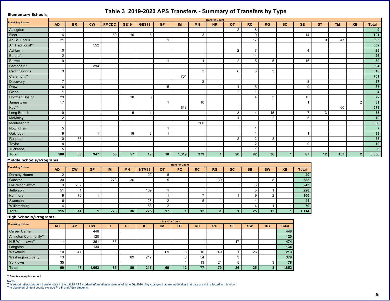<span id="page-5-0"></span>

| $\sim 1$ and<br>%                                                                                                 |                |                  |        | $\mathcal{L}$  |                | и,                 |                 |                        |                  | $\overline{\phantom{a}}$ |            |                        |                | A                       |                                  |               |         |       |                          |
|-------------------------------------------------------------------------------------------------------------------|----------------|------------------|--------|----------------|----------------|--------------------|-----------------|------------------------|------------------|--------------------------|------------|------------------------|----------------|-------------------------|----------------------------------|---------------|---------|-------|--------------------------|
| $%$ $\rightarrow$                                                                                                 |                |                  |        |                |                |                    |                 |                        |                  |                          |            |                        |                |                         |                                  |               |         |       |                          |
|                                                                                                                   | 8 <sup>2</sup> | $-$ %            | $\leq$ | \$.181         | $7# +$         | $7# +$             | $7$ \$          | $>$ .                  |                  | %                        | $\sim 0.1$ | %!                     | %7             |                         | #                                |               |         | $? -$ |                          |
|                                                                                                                   |                |                  |        |                |                |                    |                 |                        |                  |                          |            |                        |                |                         |                                  |               |         |       |                          |
| $\overline{\phantom{a}}$                                                                                          | $\geq$         |                  |        | 2 <sup>1</sup> | $\prec$        | 2                  |                 |                        | %                |                          |            |                        |                |                         | $\geq$                           |               |         |       |                          |
| $\sim$ 1 $\sim$                                                                                                   |                |                  |        |                |                |                    |                 |                        |                  |                          |            | $\equiv$               |                |                         |                                  |               | -> ⊨    |       | $+1$                     |
| 44                                                                                                                |                |                  | $22$   |                |                |                    |                 |                        |                  |                          |            |                        |                |                         |                                  |               |         |       | 11                       |
|                                                                                                                   |                |                  |        |                |                |                    |                 |                        |                  |                          |            | $=$                    |                |                         | >                                |               |         |       |                          |
|                                                                                                                   |                |                  |        |                |                |                    |                 |                        |                  |                          |            | $\geq$                 |                |                         |                                  |               |         |       | $\overline{0}$           |
| $\begin{array}{c c}\n\overline{5} \\ \hline\n5 \\ \hline\n6\n\end{array}$                                         |                |                  |        |                |                |                    |                 |                        |                  |                          |            | $\overline{c}$         | $\overline{c}$ |                         | $\,<$                            |               |         |       | $\overline{\phantom{a}}$ |
| 44                                                                                                                |                |                  | %      |                |                |                    |                 |                        |                  |                          |            |                        |                |                         |                                  |               |         |       | $+2$                     |
| 6<br>$\overline{6}$                                                                                               |                |                  |        |                |                |                    |                 |                        | $\frac{1}{2}$    |                          |            | $\frac{0}{6}$          | $\frac{0}{6}$  |                         |                                  |               |         |       | $\overline{4}$           |
| 44                                                                                                                |                |                  |        |                |                |                    |                 | $\equiv$               |                  |                          |            |                        |                |                         |                                  |               |         |       | $\overline{3}$           |
| $\overline{7}$<br>$\overline{7}$                                                                                  | $=$            |                  |        |                |                |                    |                 |                        |                  |                          |            |                        |                |                         | $\cdot$                          |               |         |       | $\overline{\omega}$      |
|                                                                                                                   |                |                  |        |                |                |                    | 2               |                        |                  |                          |            | $\overline{2}$         |                |                         |                                  |               |         |       |                          |
| $\boxed{0}$                                                                                                       |                |                  |        |                |                |                    |                 |                        |                  |                          |            |                        |                |                         |                                  |               |         |       | $\overline{2}$           |
| 8<br>5 <sup>5</sup>                                                                                               |                |                  |        |                | $\overline{?}$ | $\overline{2}$     |                 |                        |                  |                          |            | $\geq$                 | %              |                         | $\frac{1}{2}$                    |               |         |       | $\overline{\mathbf{3}}$  |
|                                                                                                                   | $=$            |                  |        |                |                |                    |                 |                        |                  |                          |            |                        |                |                         |                                  |               |         |       |                          |
| $\frac{11}{11}$<br>9 5<br>:                                                                                       |                |                  |        |                |                |                    |                 | $\leq$ ?               |                  |                          |            |                        |                |                         |                                  |               | $\,<\,$ |       | 034                      |
|                                                                                                                   |                |                  |        |                | $\mathbf{2}$   |                    |                 |                        |                  |                          | ?          | $\geq$                 | $\overline{2}$ |                         | $=$                              | $\frac{1}{2}$ |         |       | $\overline{0}$           |
|                                                                                                                   |                |                  |        |                |                |                    |                 |                        |                  |                          |            |                        |                |                         | $\overline{2}$                   |               |         |       |                          |
| $\begin{array}{c} \begin{array}{c} \hline \vdots \\ \hline \end{array} \\ \hline \hline \hline \end{array}$<br>44 |                |                  |        |                |                |                    |                 |                        | % <              |                          |            |                        |                |                         |                                  |               |         |       | $\overline{0}$           |
|                                                                                                                   | $2 \vert$      |                  |        |                |                |                    |                 |                        |                  |                          |            |                        |                |                         |                                  |               |         |       | $\overline{\omega}$      |
|                                                                                                                   |                |                  |        |                | ?              | $\overline{?}$     |                 |                        |                  |                          |            |                        |                |                         |                                  |               |         |       |                          |
| $\cdot$                                                                                                           |                | %                |        |                |                |                    |                 |                        |                  |                          |            |                        |                |                         |                                  |               |         |       | 11                       |
|                                                                                                                   | $\overline{?}$ |                  |        |                |                |                    |                 |                        |                  |                          |            |                        |                |                         |                                  |               |         |       | $+$                      |
| $\overline{\phantom{a}}$                                                                                          | $\mathbf{2}$   |                  |        |                |                |                    |                 |                        |                  |                          |            |                        |                |                         |                                  |               |         |       | 0                        |
|                                                                                                                   | 44             |                  | $+21$  | $\vert$ 1      | 13             | $+$                |                 |                        | $3+$             |                          | 0          | $\overline{4}$         | 0              |                         | 43                               |               | 3       |       | 1 <sub>0</sub>           |
| & ' '<br>$\overline{a}$                                                                                           | $\perp$        |                  |        |                |                |                    |                 |                        |                  |                          |            |                        |                |                         |                                  |               |         |       |                          |
| $%$ $\rightarrow$                                                                                                 |                |                  |        |                |                |                    | $\sim 0.1$      | -11                    |                  |                          |            |                        |                |                         |                                  |               |         |       |                          |
| $\overline{7}$                                                                                                    | 8 <sup>1</sup> | $\leq$           | 7\$    | $>$ .          |                | $- + -$            |                 | -11                    | %!               | %7                       |            | #                      | $\,<\,$        | $? -$                   |                                  |               |         |       |                          |
| 8                                                                                                                 |                |                  |        |                |                |                    | $\leq$          |                        |                  |                          |            |                        |                |                         | $\overline{2}$                   |               |         |       |                          |
| $\overline{0}$<br>85A<br>44                                                                                       | %              |                  |        | $=$ 9          | %              |                    | 2               |                        |                  | %                        |            | $\frac{1}{2}$          | $\overline{?}$ |                         | $\overline{4}$                   |               |         |       |                          |
|                                                                                                                   | %              | %                |        |                |                |                    |                 |                        |                  |                          |            |                        |                |                         | $2^{\circ}$                      |               |         |       |                          |
| $\sqrt{2}$<br>$\frac{1}{\sqrt{2}}$                                                                                | 2 <sup>1</sup> |                  |        |                |                | $\prec$            |                 |                        |                  |                          |            | $\overline{2}$         |                |                         | $\overline{4}$<br>$\overline{0}$ |               |         |       |                          |
| ۰                                                                                                                 |                | $=$ $\leq$       |        |                |                |                    |                 |                        | $=$<br>$\vert$ 2 |                          |            |                        |                |                         | 22                               |               |         |       |                          |
| $\overline{A}$                                                                                                    |                |                  |        |                |                | $\checkmark$<br>2? |                 |                        |                  |                          |            | $\geq$                 |                |                         | $\overline{3}$                   |               |         |       |                          |
|                                                                                                                   | >              |                  |        |                |                |                    |                 |                        |                  |                          |            | $\geq$<br>$\mathbf{1}$ |                |                         |                                  |               |         |       |                          |
|                                                                                                                   | $\vert$ 1      | $\left  \right $ |        | 3 <sup>1</sup> | 0              | 31                 | 3               |                        |                  |                          |            |                        |                |                         |                                  |               |         |       |                          |
| $\overline{)}$<br>$\left($<br>$\mathbf{I}$                                                                        |                |                  |        |                |                |                    |                 | $\pm$                  |                  |                          |            |                        |                |                         |                                  |               |         |       |                          |
| $%$ $^{\circ}$                                                                                                    | 8 <sub>o</sub> |                  | $\leq$ | #9             | 7\$            | $>$ - $\sim$       | $\rightarrow$ . | $\sim 0.1$             | %!               | %7                       | #          | $\leq$                 | $? -$          |                         |                                  |               |         |       |                          |
| $\overline{6}$<br>$6\,$                                                                                           |                |                  | > 1    |                |                |                    |                 |                        |                  |                          |            |                        |                | 22 <sub>4</sub>         |                                  |               |         |       |                          |
| 6 <sup>6</sup>                                                                                                    |                |                  |        |                |                |                    |                 |                        |                  |                          |            |                        |                |                         |                                  |               |         |       |                          |
| 44                                                                                                                |                |                  | % <    | $\overline{2}$ |                |                    |                 |                        |                  |                          |            |                        |                | $231$                   |                                  |               |         |       |                          |
|                                                                                                                   |                |                  | %      |                |                |                    |                 |                        |                  |                          |            |                        |                | $\overline{\mathbf{c}}$ |                                  |               |         |       |                          |
| $\begin{array}{c cc}\n8 & 5 & A \\ 9 & & \\ \hline\nA & / & \n\end{array}$                                        |                | > =              |        |                |                |                    | $\prec$         | $\left  \cdot \right $ |                  | $\geq$                   |            | $\overline{2}$         |                | $+$                     |                                  |               |         |       |                          |
| A<br>9                                                                                                            | %              |                  |        |                | $\overline{?}$ | $=$                |                 | %                      | 2 >              |                          | %          |                        |                | $3+$                    |                                  |               |         |       |                          |
| $\overline{B}$ /                                                                                                  | %              |                  |        |                |                |                    |                 |                        | %                |                          | 2          |                        | $\frac{1}{2}$  | 34                      |                                  |               |         |       |                          |
| _____                                                                                                             | $0 +$          | 23               | 0      | 41             | $4+$           | 3                  | $0+$            |                        | 33               | $\overline{\mathbf{3}}$  | 0          | $\lceil 1 \rceil$      |                | 41                      |                                  |               |         |       |                          |

 $\overline{\phantom{a}}$ 

 $\overline{(\ }$ 

 $\ddot{}$ 

55 &

 $\Delta \sim 10^6$  $^{\circ}$  $\mathcal{A}$ 

 $\overline{a}$ 

 $\texttt{+}$  ,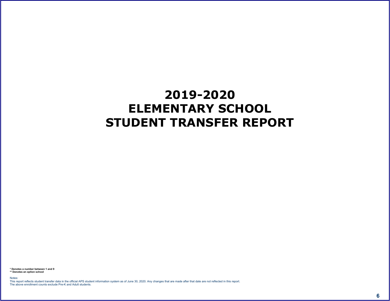# <span id="page-6-0"></span> $\begin{array}{ccccccccc} \bullet & \bullet & \bullet & \bullet & \bullet & \bullet & \bullet \end{array} \qquad \begin{array}{ccccccccc} \bullet & \bullet & \bullet & \bullet & \bullet & \bullet & \bullet \end{array} \qquad \begin{array}{ccccccccc} \bullet & \bullet & \bullet & \bullet & \bullet & \bullet & \bullet \end{array} \qquad \begin{array}{ccccccccc} \bullet & \bullet & \bullet & \bullet & \bullet & \bullet & \bullet \end{array} \qquad \begin{array}{ccccccccc} \bullet & \bullet & \bullet & \bullet & \bullet & \bullet & \bullet \end{array} \qquad \begin{array}{ccccccccc} \bullet & \bullet & \bullet & \bullet & \bullet & \bullet & \bullet \end{array} \$

5 & ( ( 6 +<br>55 &  $\frac{1}{3}$  ,  $\frac{1}{3}$  ,  $\frac{1}{3}$  $\omega$  and  $\omega$ 

 $\frac{1}{2}$   $\frac{1}{2}$  % #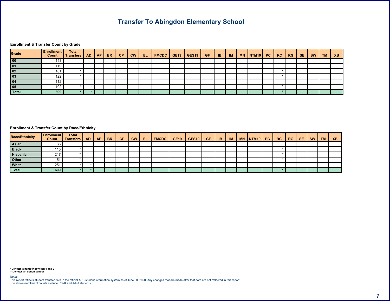$($  #

#### **@** | (7  $\#$

|  | & | $-$ % |  | $ <$ #9 \$.18! $7#$ + 7# + 7\$ > > > |  |  |  |  | $%$ ! | %7 | # |  | $\sim$ |
|--|---|-------|--|--------------------------------------|--|--|--|--|-------|----|---|--|--------|
|  |   |       |  |                                      |  |  |  |  |       |    |   |  |        |
|  |   |       |  |                                      |  |  |  |  |       |    |   |  |        |
|  |   |       |  |                                      |  |  |  |  |       |    |   |  |        |
|  |   |       |  |                                      |  |  |  |  |       |    |   |  |        |
|  |   |       |  |                                      |  |  |  |  |       |    |   |  |        |
|  |   |       |  |                                      |  |  |  |  |       |    |   |  |        |
|  |   |       |  |                                      |  |  |  |  |       |    |   |  |        |

#### <span id="page-7-0"></span>**@** ! ( % A#  $\#$

| $\frac{9}{6}$ A# |  |  | $1 - \%$ |  | $\begin{bmatrix} \ \ \end{bmatrix}$ $\begin{bmatrix} k & 4 & 9 \\ 4 & 9 & 3 \end{bmatrix}$ $\begin{bmatrix} 3 & 1 & 8 \\ 3 & 1 & 8 \end{bmatrix}$ $\begin{bmatrix} 7 & \# & + & 7 & \# & + & 7 & \$ \\ 7 & \# & + & & 7 & \$ \\ 7 & \# & + & & 7 & \$ \\ 8 & \# & 1 & & 7 & \$ \\ 1 & \# & 1 & & 8 & \$ \\ 1 & \# & 1 & & 8 & \$ \\ 1 & \# & 1 & & 8 & \$ \\ 1 & \# & 1 & & 8 & \$ \\ 1$ |  |  |  |  | $\  \cdot \  \cdot \frac{1}{6} \cdot \  \cdot \frac{1}{6} \cdot 7 \ $ # $\  \cdot \ $ |  |  |  |
|------------------|--|--|----------|--|------------------------------------------------------------------------------------------------------------------------------------------------------------------------------------------------------------------------------------------------------------------------------------------------------------------------------------------------------------------------------------------|--|--|--|--|---------------------------------------------------------------------------------------|--|--|--|
|                  |  |  |          |  |                                                                                                                                                                                                                                                                                                                                                                                          |  |  |  |  |                                                                                       |  |  |  |
|                  |  |  |          |  |                                                                                                                                                                                                                                                                                                                                                                                          |  |  |  |  |                                                                                       |  |  |  |
|                  |  |  |          |  |                                                                                                                                                                                                                                                                                                                                                                                          |  |  |  |  |                                                                                       |  |  |  |
|                  |  |  |          |  |                                                                                                                                                                                                                                                                                                                                                                                          |  |  |  |  |                                                                                       |  |  |  |
|                  |  |  |          |  |                                                                                                                                                                                                                                                                                                                                                                                          |  |  |  |  |                                                                                       |  |  |  |
|                  |  |  |          |  |                                                                                                                                                                                                                                                                                                                                                                                          |  |  |  |  |                                                                                       |  |  |  |

 $(6)$  $5 \text{ \&br>55 \&br>8$  $\frac{1}{2}$  $\overline{a}$  and  $\overline{a}$  and  $\overline{a}$  and  $\overline{a}$  and  $\overline{a}$  and  $\overline{a}$  and  $\overline{a}$  and  $\overline{a}$  and  $\overline{a}$  and  $\overline{a}$  and  $\overline{a}$  and  $\overline{a}$  and  $\overline{a}$  and  $\overline{a}$  and  $\overline{a}$  and  $\overline{a}$  and  $\overline{a}$  and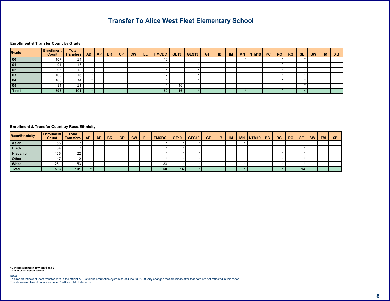$\lt$  \$ #

#@ !(7

|  | $\alpha$ | $-$ % |  | $1 <$ $\left  \begin{array}{cc} \#9 & \text{$\$}.181 & \text{$7\#$} \end{array} \right $ $\left  \begin{array}{cc} 7 \# & + \end{array} \right $ $\left  \begin{array}{cc} 7 \# & + \end{array} \right $ $\left  \begin{array}{cc} 7 \ \$ & & & & \end{array} \right $ |  |  |  |  | %! | %7 | # |  | $2 -$ |
|--|----------|-------|--|------------------------------------------------------------------------------------------------------------------------------------------------------------------------------------------------------------------------------------------------------------------------|--|--|--|--|----|----|---|--|-------|
|  |          |       |  |                                                                                                                                                                                                                                                                        |  |  |  |  |    |    |   |  |       |
|  |          |       |  |                                                                                                                                                                                                                                                                        |  |  |  |  |    |    |   |  |       |
|  |          |       |  |                                                                                                                                                                                                                                                                        |  |  |  |  |    |    |   |  |       |
|  |          |       |  |                                                                                                                                                                                                                                                                        |  |  |  |  |    |    |   |  |       |
|  |          |       |  |                                                                                                                                                                                                                                                                        |  |  |  |  |    |    |   |  |       |
|  |          |       |  |                                                                                                                                                                                                                                                                        |  |  |  |  |    |    |   |  |       |
|  |          |       |  |                                                                                                                                                                                                                                                                        |  |  |  |  |    |    |   |  |       |

### <span id="page-8-0"></span> $\begin{matrix} \# \end{matrix} \qquad \qquad \begin{matrix} \textcircled{\tiny 1} & \textcircled{\tiny 1} & \textcircled{\tiny 1} & \textcircled{\tiny 1} & \textcircled{\tiny 1} & \textcircled{\tiny 2} & \textcircled{\tiny 3} & \textcircled{\tiny 4} \end{matrix}$

| $\frac{9}{6}$ A# |  |  | $\vert$ - % $\vert$ ! |  |  |  |  |  | $\vert$ + $\vert$ ! $\vert$ %! $\vert$ %7 # $\vert$ < $\vert$ |  |  |  |  |
|------------------|--|--|-----------------------|--|--|--|--|--|---------------------------------------------------------------|--|--|--|--|
|                  |  |  |                       |  |  |  |  |  |                                                               |  |  |  |  |
|                  |  |  |                       |  |  |  |  |  |                                                               |  |  |  |  |
|                  |  |  |                       |  |  |  |  |  |                                                               |  |  |  |  |
|                  |  |  |                       |  |  |  |  |  |                                                               |  |  |  |  |
|                  |  |  |                       |  |  |  |  |  |                                                               |  |  |  |  |
|                  |  |  |                       |  |  |  |  |  |                                                               |  |  |  |  |

and the state of the state of the state of the state of the state of the state of the state of the state of th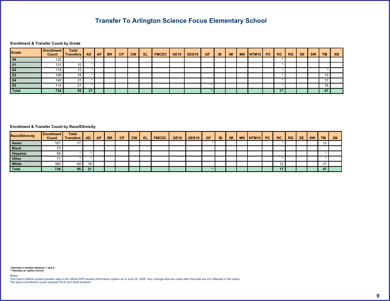$\updownarrow$   $\updownarrow$ 

**@** ! ( 7  $\#$ 

<span id="page-9-0"></span>

|  | $\alpha$ | $-$ % $\vert$ |  |  |  |  |  |  | $%$ ! % 7 | # |  | 7 - |
|--|----------|---------------|--|--|--|--|--|--|-----------|---|--|-----|
|  |          |               |  |  |  |  |  |  |           |   |  |     |
|  |          |               |  |  |  |  |  |  |           |   |  |     |
|  |          |               |  |  |  |  |  |  |           |   |  |     |
|  |          |               |  |  |  |  |  |  |           |   |  |     |
|  |          |               |  |  |  |  |  |  |           |   |  |     |
|  |          |               |  |  |  |  |  |  |           |   |  |     |
|  |          |               |  |  |  |  |  |  |           |   |  |     |

| $\frac{9}{6}$ A# |  | $\alpha$ |  | $\vert$ - % $\vert$ ! |  |  |  |  |  | $\parallel$   % $\parallel$ % 7   # |  |  |  |
|------------------|--|----------|--|-----------------------|--|--|--|--|--|-------------------------------------|--|--|--|
|                  |  |          |  |                       |  |  |  |  |  |                                     |  |  |  |
|                  |  |          |  |                       |  |  |  |  |  |                                     |  |  |  |
|                  |  |          |  |                       |  |  |  |  |  |                                     |  |  |  |
|                  |  |          |  |                       |  |  |  |  |  |                                     |  |  |  |
|                  |  |          |  |                       |  |  |  |  |  |                                     |  |  |  |
|                  |  |          |  |                       |  |  |  |  |  |                                     |  |  |  |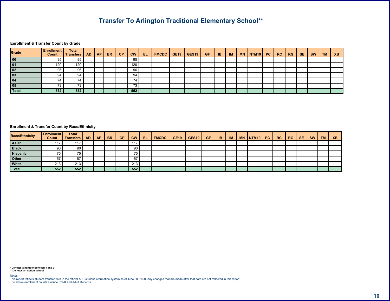$55$ 

#### **@** ! ( 7  $\#$

<span id="page-10-0"></span>

|  | & | $-$ % $\vert$ |     |  |  |  |  | $+1$ | $\parallel$   % $\parallel$ | $\frac{9}{6}$ 7 # |  | $2 -$ |
|--|---|---------------|-----|--|--|--|--|------|-----------------------------|-------------------|--|-------|
|  |   |               |     |  |  |  |  |      |                             |                   |  |       |
|  |   |               |     |  |  |  |  |      |                             |                   |  |       |
|  |   |               |     |  |  |  |  |      |                             |                   |  |       |
|  |   |               |     |  |  |  |  |      |                             |                   |  |       |
|  |   |               |     |  |  |  |  |      |                             |                   |  |       |
|  |   |               | $=$ |  |  |  |  |      |                             |                   |  |       |
|  |   |               | 11  |  |  |  |  |      |                             |                   |  |       |

| $\frac{9}{6}$ A# |  |  | $-$ % $\vert$ ! |               | $\vert \cdot \vert \cdot \vert$ #9 \$.18.1 7# + 7# + 7\$ > > > . |  |  |  | $\vert$ + $\vert$ $\vert$ %! % 7 # $\vert$ < $\vert$ |  |  |  | <u>s =</u> |
|------------------|--|--|-----------------|---------------|------------------------------------------------------------------|--|--|--|------------------------------------------------------|--|--|--|------------|
|                  |  |  |                 |               |                                                                  |  |  |  |                                                      |  |  |  |            |
|                  |  |  |                 |               |                                                                  |  |  |  |                                                      |  |  |  |            |
|                  |  |  |                 | $=$ $\lambda$ |                                                                  |  |  |  |                                                      |  |  |  |            |
|                  |  |  |                 |               |                                                                  |  |  |  |                                                      |  |  |  |            |
|                  |  |  |                 |               |                                                                  |  |  |  |                                                      |  |  |  |            |
|                  |  |  |                 |               |                                                                  |  |  |  |                                                      |  |  |  |            |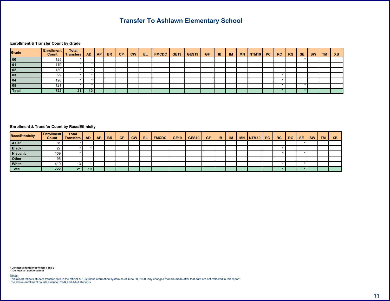$6$  #

**@** ! ( 7  $\#$ 

<span id="page-11-0"></span>

|  | & | $-$ % |  | $\vert \langle \vert 49 \vert 3.181 \vert 7 \# 1 7 \# 7 \# 7 \$ > $\vert \rangle$ |  |  |  |  | $\%$ ! | %7 |  | $\sim$ |
|--|---|-------|--|-----------------------------------------------------------------------------------|--|--|--|--|--------|----|--|--------|
|  |   |       |  |                                                                                   |  |  |  |  |        |    |  |        |
|  |   |       |  |                                                                                   |  |  |  |  |        |    |  |        |
|  |   |       |  |                                                                                   |  |  |  |  |        |    |  |        |
|  |   |       |  |                                                                                   |  |  |  |  |        |    |  |        |
|  |   |       |  |                                                                                   |  |  |  |  |        |    |  |        |
|  |   |       |  |                                                                                   |  |  |  |  |        |    |  |        |
|  |   |       |  |                                                                                   |  |  |  |  |        |    |  |        |

| $\frac{9}{6}$ A# |  | $\alpha$ | $-$ % |  | $\vert \cdot \vert \cdot \vert$ #9 \$.18! $\vert$ 7# + 7# + 7\$ > $\vert$ > $\vert$ . |  |  |  |  | $\frac{1}{6}$ %! $\frac{1}{6}$ % 7 | – # I |  |  |
|------------------|--|----------|-------|--|---------------------------------------------------------------------------------------|--|--|--|--|------------------------------------|-------|--|--|
|                  |  |          |       |  |                                                                                       |  |  |  |  |                                    |       |  |  |
|                  |  |          |       |  |                                                                                       |  |  |  |  |                                    |       |  |  |
|                  |  |          |       |  |                                                                                       |  |  |  |  |                                    |       |  |  |
|                  |  |          |       |  |                                                                                       |  |  |  |  |                                    |       |  |  |
|                  |  |          |       |  |                                                                                       |  |  |  |  |                                    |       |  |  |
|                  |  |          |       |  |                                                                                       |  |  |  |  |                                    |       |  |  |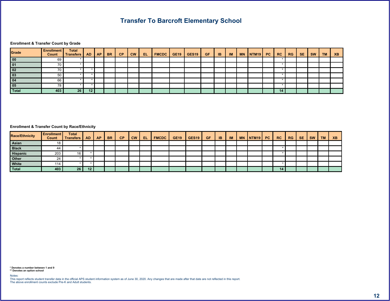#### **@** ! (7  $\#$

<span id="page-12-0"></span>

|  | & | $-$ % |  |  |  |  |  |  | $%!$ $%$ 7 # |  | $2 -$ |
|--|---|-------|--|--|--|--|--|--|--------------|--|-------|
|  |   |       |  |  |  |  |  |  |              |  |       |
|  |   |       |  |  |  |  |  |  |              |  |       |
|  |   |       |  |  |  |  |  |  |              |  |       |
|  |   |       |  |  |  |  |  |  |              |  |       |
|  |   |       |  |  |  |  |  |  |              |  |       |
|  |   |       |  |  |  |  |  |  |              |  |       |
|  |   |       |  |  |  |  |  |  |              |  |       |

| $\frac{9}{6}$ A# |  |  | $1 - \%$ |  | $\vert \cdot \vert \cdot \vert$ #9 \$ .1&! 7# + 7# + 7\$ > - >   . |  |  |  |  | $\parallel$   % $\parallel$ % 7  #   < |  |  |  |
|------------------|--|--|----------|--|--------------------------------------------------------------------|--|--|--|--|----------------------------------------|--|--|--|
|                  |  |  |          |  |                                                                    |  |  |  |  |                                        |  |  |  |
|                  |  |  |          |  |                                                                    |  |  |  |  |                                        |  |  |  |
|                  |  |  |          |  |                                                                    |  |  |  |  |                                        |  |  |  |
|                  |  |  |          |  |                                                                    |  |  |  |  |                                        |  |  |  |
|                  |  |  |          |  |                                                                    |  |  |  |  |                                        |  |  |  |
|                  |  |  |          |  |                                                                    |  |  |  |  |                                        |  |  |  |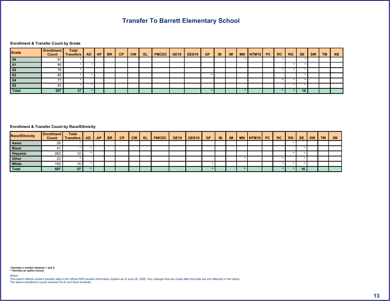## #@ !(7

|  | & | $-$ % $\blacksquare$ |  | $\vert \cdot \vert < \vert$ #9 $\vert$ \$ 1&! $\vert$ 7# + 7# + 7\$ $\vert$ >- $\vert$ >. |  |  |  | <b>CONTRACTOR</b> |  | $\%$ ! % 7 | # |  | $2 -$ |
|--|---|----------------------|--|-------------------------------------------------------------------------------------------|--|--|--|-------------------|--|------------|---|--|-------|
|  |   |                      |  |                                                                                           |  |  |  |                   |  |            |   |  |       |
|  |   |                      |  |                                                                                           |  |  |  |                   |  |            |   |  |       |
|  |   |                      |  |                                                                                           |  |  |  |                   |  |            |   |  |       |
|  |   |                      |  |                                                                                           |  |  |  |                   |  |            |   |  |       |
|  |   |                      |  |                                                                                           |  |  |  |                   |  |            |   |  |       |
|  |   |                      |  |                                                                                           |  |  |  |                   |  |            |   |  |       |
|  |   |                      |  |                                                                                           |  |  |  |                   |  |            |   |  |       |

### <span id="page-13-0"></span>#@ !(%A#

| $\frac{9}{6}$ A# |  |  | $-$ % |  | $\vert \cdot \vert$ $\vert \cdot \vert$ $\vert \cdot \vert$ $\vert \cdot \vert$ $\vert \cdot \vert$ $\vert \cdot \vert$ $\vert \cdot \vert$ $\vert \cdot \vert$ $\vert \cdot \vert$ $\vert \cdot \vert$ $\vert \cdot \vert$ $\vert \cdot \vert$ $\vert \cdot \vert$ $\vert \cdot \vert$ $\vert \cdot \vert$ $\vert \cdot \vert$ $\vert \cdot \vert$ $\vert \cdot \vert$ $\vert \cdot \vert$ $\vert \cdot \vert$ $\vert \cdot \vert$ $\vert \cdot \vert$ $\vert \cdot \vert$ $\vert \cdot \vert$ $\vert \cdot$ |  |  |  |  | $\frac{1}{6}$ %! $\frac{1}{6}$ % 7 | - # I |  |  |
|------------------|--|--|-------|--|---------------------------------------------------------------------------------------------------------------------------------------------------------------------------------------------------------------------------------------------------------------------------------------------------------------------------------------------------------------------------------------------------------------------------------------------------------------------------------------------------------------|--|--|--|--|------------------------------------|-------|--|--|
|                  |  |  |       |  |                                                                                                                                                                                                                                                                                                                                                                                                                                                                                                               |  |  |  |  |                                    |       |  |  |
|                  |  |  |       |  |                                                                                                                                                                                                                                                                                                                                                                                                                                                                                                               |  |  |  |  |                                    |       |  |  |
|                  |  |  |       |  |                                                                                                                                                                                                                                                                                                                                                                                                                                                                                                               |  |  |  |  |                                    |       |  |  |
|                  |  |  |       |  |                                                                                                                                                                                                                                                                                                                                                                                                                                                                                                               |  |  |  |  |                                    |       |  |  |
|                  |  |  |       |  |                                                                                                                                                                                                                                                                                                                                                                                                                                                                                                               |  |  |  |  |                                    |       |  |  |
|                  |  |  |       |  |                                                                                                                                                                                                                                                                                                                                                                                                                                                                                                               |  |  |  |  |                                    |       |  |  |

and the state of the state of the state of the state of the state of the state of the state of the state of th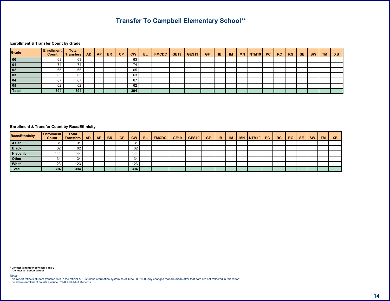$\frac{1}{55}$  ( # 55

**@** ! ( 7  $\#$ 

<span id="page-14-0"></span>

|       | & | $-$ % |            |  |  |  |  | <b>STATISTICS</b> |  | $%$ ! $%$ 7 # |  |  |
|-------|---|-------|------------|--|--|--|--|-------------------|--|---------------|--|--|
|       |   |       |            |  |  |  |  |                   |  |               |  |  |
| $=$ ' |   |       | $=$ $\geq$ |  |  |  |  |                   |  |               |  |  |
|       |   |       |            |  |  |  |  |                   |  |               |  |  |
|       |   |       |            |  |  |  |  |                   |  |               |  |  |
|       |   |       |            |  |  |  |  |                   |  |               |  |  |
|       |   |       |            |  |  |  |  |                   |  |               |  |  |
|       |   |       |            |  |  |  |  |                   |  |               |  |  |

| $\frac{9}{6}$ A# |  |  | $-$ % |  |  |  |  |  |  | $\frac{1}{1}$ %! %7 # |  |  | . |
|------------------|--|--|-------|--|--|--|--|--|--|-----------------------|--|--|---|
|                  |  |  |       |  |  |  |  |  |  |                       |  |  |   |
|                  |  |  |       |  |  |  |  |  |  |                       |  |  |   |
|                  |  |  |       |  |  |  |  |  |  |                       |  |  |   |
|                  |  |  |       |  |  |  |  |  |  |                       |  |  |   |
|                  |  |  |       |  |  |  |  |  |  |                       |  |  |   |
|                  |  |  |       |  |  |  |  |  |  |                       |  |  |   |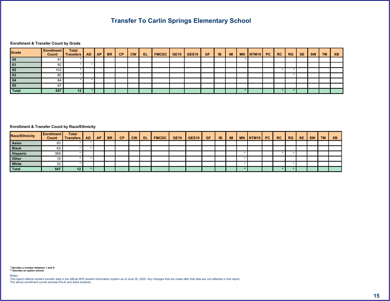$\frac{1}{2}$  and  $\frac{1}{2}$  and  $\frac{1}{2}$  and  $\frac{1}{2}$  and  $\frac{1}{2}$  and  $\frac{1}{2}$  and  $\frac{1}{2}$  and  $\frac{1}{2}$  and  $\frac{1}{2}$  and  $\frac{1}{2}$  and  $\frac{1}{2}$  and  $\frac{1}{2}$  and  $\frac{1}{2}$  and  $\frac{1}{2}$  and  $\frac{1}{2}$  and  $\frac{1}{2}$  a

#### **@** ! ( 7  $\#$

<span id="page-15-0"></span>

|  | & | $-$ % |  | $\vert \cdot \vert < \vert$ #9 \$.18! $\vert$ 7# + 7# + 7\$ > - >. |  |  |  |  | $\frac{9}{6}$ ! $\frac{9}{6}$ 7 | # |  | $2 -$ |
|--|---|-------|--|--------------------------------------------------------------------|--|--|--|--|---------------------------------|---|--|-------|
|  |   |       |  |                                                                    |  |  |  |  |                                 |   |  |       |
|  |   |       |  |                                                                    |  |  |  |  |                                 |   |  |       |
|  |   |       |  |                                                                    |  |  |  |  |                                 |   |  |       |
|  |   |       |  |                                                                    |  |  |  |  |                                 |   |  |       |
|  |   |       |  |                                                                    |  |  |  |  |                                 |   |  |       |
|  |   |       |  |                                                                    |  |  |  |  |                                 |   |  |       |
|  |   |       |  |                                                                    |  |  |  |  |                                 |   |  |       |

| $\frac{9}{6}$ A# |  | $\alpha$ | $\sim$ % $\mid$ 1 |  | $\vert \cdot \vert \cdot \vert$ #9 \$.18! $\vert 7 \#$ + 7# + 7\$ > $\vert$ > . |  |  |  | +   !   % !   % 7   #   < |  |  |  |  |
|------------------|--|----------|-------------------|--|---------------------------------------------------------------------------------|--|--|--|---------------------------|--|--|--|--|
|                  |  |          |                   |  |                                                                                 |  |  |  |                           |  |  |  |  |
|                  |  |          |                   |  |                                                                                 |  |  |  |                           |  |  |  |  |
|                  |  |          |                   |  |                                                                                 |  |  |  |                           |  |  |  |  |
|                  |  |          |                   |  |                                                                                 |  |  |  |                           |  |  |  |  |
|                  |  |          |                   |  |                                                                                 |  |  |  |                           |  |  |  |  |
|                  |  |          |                   |  |                                                                                 |  |  |  |                           |  |  |  |  |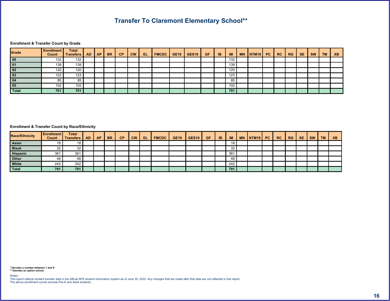**@** ! ( 7  $\#$ 

<span id="page-16-0"></span>

|      |                   | & | $-$ % $\vert$ | $\leq$ |  |  |  | $\sim$ $>$ $\sim$ $\sim$ | <b>Contract Contract</b> | %! | $%7$ # |  | $2 -$ |
|------|-------------------|---|---------------|--------|--|--|--|--------------------------|--------------------------|----|--------|--|-------|
| $\%$ | $O_{\mathcal{L}}$ |   |               |        |  |  |  | %                        |                          |    |        |  |       |
| O/2  |                   |   |               |        |  |  |  | %                        |                          |    |        |  |       |
|      |                   |   |               |        |  |  |  |                          |                          |    |        |  |       |
|      |                   |   |               |        |  |  |  | O/                       |                          |    |        |  |       |
|      |                   |   |               |        |  |  |  | -2.21                    |                          |    |        |  |       |
|      |                   |   |               |        |  |  |  |                          |                          |    |        |  |       |
|      |                   |   |               |        |  |  |  |                          |                          |    |        |  |       |

| $\frac{9}{6}$ A# |               | ă. | $-$ % $\blacksquare$ |  |  |  |  |     |  | $\frac{9}{6}$ !   %7   # |  |  |  |
|------------------|---------------|----|----------------------|--|--|--|--|-----|--|--------------------------|--|--|--|
|                  |               |    |                      |  |  |  |  |     |  |                          |  |  |  |
|                  |               |    |                      |  |  |  |  |     |  |                          |  |  |  |
|                  | $\mathbf{O}/$ |    |                      |  |  |  |  | % < |  |                          |  |  |  |
|                  |               |    |                      |  |  |  |  |     |  |                          |  |  |  |
|                  |               |    |                      |  |  |  |  |     |  |                          |  |  |  |
|                  |               |    |                      |  |  |  |  |     |  |                          |  |  |  |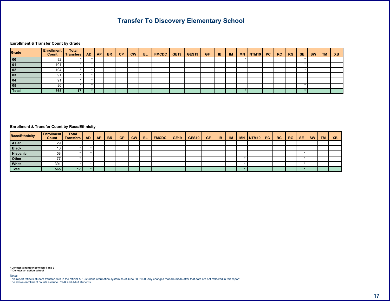**@** | (7  $\#$ 

<span id="page-17-0"></span>

|  | & | $-$ % |  |  |  |  |  |  | %! | %7 | # |  | $\epsilon$ $\sim$ |
|--|---|-------|--|--|--|--|--|--|----|----|---|--|-------------------|
|  |   |       |  |  |  |  |  |  |    |    |   |  |                   |
|  |   |       |  |  |  |  |  |  |    |    |   |  |                   |
|  |   |       |  |  |  |  |  |  |    |    |   |  |                   |
|  |   |       |  |  |  |  |  |  |    |    |   |  |                   |
|  |   |       |  |  |  |  |  |  |    |    |   |  |                   |
|  |   |       |  |  |  |  |  |  |    |    |   |  |                   |
|  |   |       |  |  |  |  |  |  |    |    |   |  |                   |

| $\frac{9}{6}$ A# |  | $\alpha$ |  | $-$ % $\vert$ 1 |  | $\vert \cdot \vert < \vert$ #9 \$ 18 ! 7# + 7# + 7\$ > > $\vert$ >. |  |  |  |  | $\parallel$   %!   %7   # |  |  |  |
|------------------|--|----------|--|-----------------|--|---------------------------------------------------------------------|--|--|--|--|---------------------------|--|--|--|
|                  |  |          |  |                 |  |                                                                     |  |  |  |  |                           |  |  |  |
|                  |  |          |  |                 |  |                                                                     |  |  |  |  |                           |  |  |  |
|                  |  |          |  |                 |  |                                                                     |  |  |  |  |                           |  |  |  |
|                  |  |          |  |                 |  |                                                                     |  |  |  |  |                           |  |  |  |
|                  |  |          |  |                 |  |                                                                     |  |  |  |  |                           |  |  |  |
|                  |  |          |  |                 |  |                                                                     |  |  |  |  |                           |  |  |  |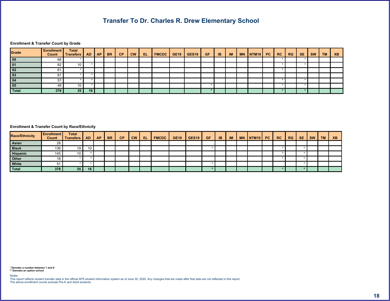&! % & 6 #

**@** ! ( 7  $\#$ 

<span id="page-18-0"></span>

|  | $\alpha$ | $-$ % $\vert$ |  | $\vert \cdot \vert <$ #9 \$.18.1 7# + 7# + 7\$ >   > |  |  |  |  | $%$ ! % 7 | # |  |  |
|--|----------|---------------|--|------------------------------------------------------|--|--|--|--|-----------|---|--|--|
|  |          |               |  |                                                      |  |  |  |  |           |   |  |  |
|  |          |               |  |                                                      |  |  |  |  |           |   |  |  |
|  |          |               |  |                                                      |  |  |  |  |           |   |  |  |
|  |          |               |  |                                                      |  |  |  |  |           |   |  |  |
|  |          |               |  |                                                      |  |  |  |  |           |   |  |  |
|  |          |               |  |                                                      |  |  |  |  |           |   |  |  |
|  |          |               |  |                                                      |  |  |  |  |           |   |  |  |

| $\frac{9}{6}$ A# |  | $\alpha$ | $-$ % $\blacksquare$ |  | $\vert \cdot \vert$ $\vert \cdot \vert$ $\vert \cdot \vert$ $\vert \cdot \vert$ $\vert \cdot \vert$ $\vert \cdot \vert$ $\vert \cdot \vert$ $\vert \cdot \vert$ $\vert \cdot \vert$ $\vert \cdot \vert$ $\vert \cdot \vert$ $\vert \cdot \vert$ $\vert \cdot \vert$ $\vert \cdot \vert$ $\vert \cdot \vert$ $\vert \cdot \vert$ $\vert \cdot \vert$ $\vert \cdot \vert$ $\vert \cdot \vert$ $\vert \cdot \vert$ $\vert \cdot \vert$ $\vert \cdot \vert$ $\vert \cdot \vert$ $\vert \cdot \vert$ $\vert \cdot$ |  |  |  |  | $\frac{1}{1}$ % $\frac{1}{1}$ % 7 # |  |  |  |
|------------------|--|----------|----------------------|--|---------------------------------------------------------------------------------------------------------------------------------------------------------------------------------------------------------------------------------------------------------------------------------------------------------------------------------------------------------------------------------------------------------------------------------------------------------------------------------------------------------------|--|--|--|--|-------------------------------------|--|--|--|
|                  |  |          |                      |  |                                                                                                                                                                                                                                                                                                                                                                                                                                                                                                               |  |  |  |  |                                     |  |  |  |
|                  |  |          |                      |  |                                                                                                                                                                                                                                                                                                                                                                                                                                                                                                               |  |  |  |  |                                     |  |  |  |
|                  |  |          |                      |  |                                                                                                                                                                                                                                                                                                                                                                                                                                                                                                               |  |  |  |  |                                     |  |  |  |
|                  |  |          |                      |  |                                                                                                                                                                                                                                                                                                                                                                                                                                                                                                               |  |  |  |  |                                     |  |  |  |
|                  |  |          |                      |  |                                                                                                                                                                                                                                                                                                                                                                                                                                                                                                               |  |  |  |  |                                     |  |  |  |
|                  |  |          |                      |  |                                                                                                                                                                                                                                                                                                                                                                                                                                                                                                               |  |  |  |  |                                     |  |  |  |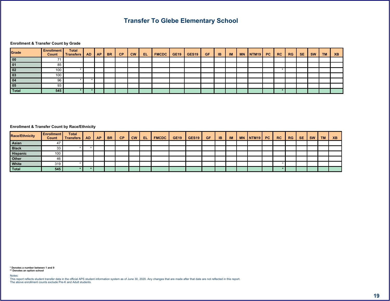$7($  #

**@** ! (7  $\#$ 

<span id="page-19-0"></span>

|  | & | $-$ % $\blacksquare$ |  |  |  |  |  |  | %! | %7 |  | ?- - |
|--|---|----------------------|--|--|--|--|--|--|----|----|--|------|
|  |   |                      |  |  |  |  |  |  |    |    |  |      |
|  |   |                      |  |  |  |  |  |  |    |    |  |      |
|  |   |                      |  |  |  |  |  |  |    |    |  |      |
|  |   |                      |  |  |  |  |  |  |    |    |  |      |
|  |   |                      |  |  |  |  |  |  |    |    |  |      |
|  |   |                      |  |  |  |  |  |  |    |    |  |      |
|  |   |                      |  |  |  |  |  |  |    |    |  |      |

| $\frac{9}{6}$ A# |  | $\alpha$ |  |  | -%  !   !<   #9  \$.!&!  7# +  7# +  7\$  >-  > |  |  |  | . +   !   % !   % 7   #   < |  |  |  |  |
|------------------|--|----------|--|--|-------------------------------------------------|--|--|--|-----------------------------|--|--|--|--|
|                  |  |          |  |  |                                                 |  |  |  |                             |  |  |  |  |
|                  |  |          |  |  |                                                 |  |  |  |                             |  |  |  |  |
|                  |  |          |  |  |                                                 |  |  |  |                             |  |  |  |  |
|                  |  |          |  |  |                                                 |  |  |  |                             |  |  |  |  |
|                  |  |          |  |  |                                                 |  |  |  |                             |  |  |  |  |
|                  |  |          |  |  |                                                 |  |  |  |                             |  |  |  |  |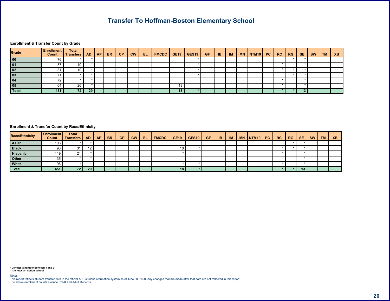## $8 \qquad , - \qquad \qquad \#$

**@** | (7  $\#$ 

<span id="page-20-0"></span>

|  | $\alpha$ | $-$ % $\blacksquare$ |  | $\vert \vert \cdot \vert$ $\vert \vert \neq 9$ $\vert \vert \cdot \vert \cdot 8 \cdot \vert \vert \cdot 7 \# + \vert \vert \cdot 7 \# + \vert \cdot \vert \cdot 7 \$ $\vert \cdot \vert \cdot \vert \cdot \vert \cdot \vert$ |  |  |  |  | $\%$ ! $\%$ 7 |  | 2 - |
|--|----------|----------------------|--|------------------------------------------------------------------------------------------------------------------------------------------------------------------------------------------------------------------------------|--|--|--|--|---------------|--|-----|
|  |          |                      |  |                                                                                                                                                                                                                              |  |  |  |  |               |  |     |
|  |          |                      |  |                                                                                                                                                                                                                              |  |  |  |  |               |  |     |
|  |          |                      |  |                                                                                                                                                                                                                              |  |  |  |  |               |  |     |
|  |          |                      |  |                                                                                                                                                                                                                              |  |  |  |  |               |  |     |
|  |          |                      |  |                                                                                                                                                                                                                              |  |  |  |  |               |  |     |
|  |          |                      |  |                                                                                                                                                                                                                              |  |  |  |  |               |  |     |
|  |          |                      |  |                                                                                                                                                                                                                              |  |  |  |  |               |  |     |

| $\frac{9}{6}$ A# |  |  | $-$ % |  | $\vert \cdot \vert$ $\vert \cdot \vert$ $\vert \cdot \vert$ $\vert \cdot \vert$ $\vert \cdot \vert$ $\vert \cdot \vert$ $\vert \cdot \vert$ $\vert \cdot \vert$ $\vert \cdot \vert$ $\vert \cdot \vert$ $\vert \cdot \vert$ $\vert \cdot \vert$ $\vert \cdot \vert$ $\vert \cdot \vert$ $\vert \cdot \vert$ $\vert \cdot \vert$ $\vert \cdot \vert$ $\vert \cdot \vert$ $\vert \cdot \vert$ $\vert \cdot \vert$ $\vert \cdot \vert$ $\vert \cdot \vert$ $\vert \cdot \vert$ $\vert \cdot \vert$ $\vert \cdot$ |  |  |  |  |  | # |  |  |
|------------------|--|--|-------|--|---------------------------------------------------------------------------------------------------------------------------------------------------------------------------------------------------------------------------------------------------------------------------------------------------------------------------------------------------------------------------------------------------------------------------------------------------------------------------------------------------------------|--|--|--|--|--|---|--|--|
|                  |  |  |       |  |                                                                                                                                                                                                                                                                                                                                                                                                                                                                                                               |  |  |  |  |  |   |  |  |
|                  |  |  |       |  |                                                                                                                                                                                                                                                                                                                                                                                                                                                                                                               |  |  |  |  |  |   |  |  |
|                  |  |  |       |  |                                                                                                                                                                                                                                                                                                                                                                                                                                                                                                               |  |  |  |  |  |   |  |  |
|                  |  |  |       |  |                                                                                                                                                                                                                                                                                                                                                                                                                                                                                                               |  |  |  |  |  |   |  |  |
|                  |  |  |       |  |                                                                                                                                                                                                                                                                                                                                                                                                                                                                                                               |  |  |  |  |  |   |  |  |
|                  |  |  |       |  |                                                                                                                                                                                                                                                                                                                                                                                                                                                                                                               |  |  |  |  |  |   |  |  |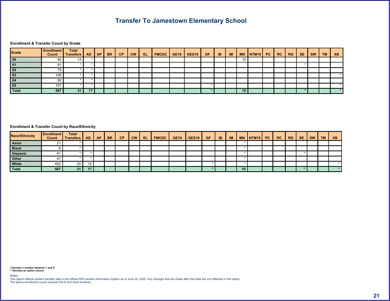$6$  #

#### **@** | (7  $\#$

<span id="page-21-0"></span>

|  | &  | $-$ % $\blacksquare$ |  |  |  |  | $\rightarrow$ . |  | %! | %7 |  | $2 -$ |
|--|----|----------------------|--|--|--|--|-----------------|--|----|----|--|-------|
|  |    |                      |  |  |  |  |                 |  |    |    |  |       |
|  |    |                      |  |  |  |  |                 |  |    |    |  |       |
|  |    |                      |  |  |  |  |                 |  |    |    |  |       |
|  |    |                      |  |  |  |  |                 |  |    |    |  |       |
|  |    |                      |  |  |  |  |                 |  |    |    |  |       |
|  |    |                      |  |  |  |  |                 |  |    |    |  |       |
|  | 3I |                      |  |  |  |  |                 |  |    |    |  |       |

| $\frac{9}{6}$ A# |  | $\alpha$ | $-$ % $\blacksquare$ |  | $\vert \cdot \vert \cdot \vert$ #9 \$.18! $\vert 7 \#$ + $\vert 7 \#$ + 7\$ > $\vert$ > $\vert$ . |  |  |  |  | $\frac{9}{6}$ ! % 7 | # |  |  |
|------------------|--|----------|----------------------|--|---------------------------------------------------------------------------------------------------|--|--|--|--|---------------------|---|--|--|
|                  |  |          |                      |  |                                                                                                   |  |  |  |  |                     |   |  |  |
|                  |  |          |                      |  |                                                                                                   |  |  |  |  |                     |   |  |  |
|                  |  |          |                      |  |                                                                                                   |  |  |  |  |                     |   |  |  |
|                  |  |          |                      |  |                                                                                                   |  |  |  |  |                     |   |  |  |
|                  |  |          |                      |  |                                                                                                   |  |  |  |  |                     |   |  |  |
|                  |  |          |                      |  |                                                                                                   |  |  |  |  |                     |   |  |  |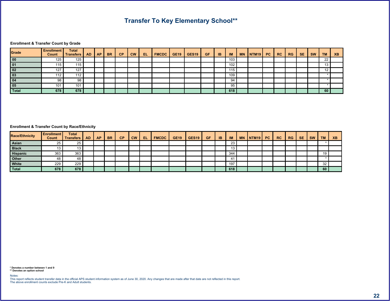$\frac{1}{2}$   $\frac{1}{2}$   $\frac{1}{2}$   $\frac{1}{2}$   $\frac{1}{2}$   $\frac{1}{2}$   $\frac{1}{2}$   $\frac{1}{2}$   $\frac{1}{2}$   $\frac{1}{2}$   $\frac{1}{2}$   $\frac{1}{2}$   $\frac{1}{2}$   $\frac{1}{2}$   $\frac{1}{2}$   $\frac{1}{2}$   $\frac{1}{2}$   $\frac{1}{2}$   $\frac{1}{2}$   $\frac{1}{2}$   $\frac{1}{2}$   $\frac{1}{2}$ 

**@** ! ( 7  $\#$ 

<span id="page-22-0"></span>

|    |    | & | $-$ % $\vert$ |  | $\left  \begin{array}{c c c c c c c c} 1 & \pm & 9 & \text{\textsterling}. & 8 & \text{\textsterling}. & 7 \# & + & 7 \# & + & 7 \text{\textsterling}. & & & & & & & & \end{array} \right $ |  |  |       | <b>PERSONAL PROPERTY</b> |  | $%$ ! % 7 | # |  |  |
|----|----|---|---------------|--|---------------------------------------------------------------------------------------------------------------------------------------------------------------------------------------------|--|--|-------|--------------------------|--|-----------|---|--|--|
|    |    |   |               |  |                                                                                                                                                                                             |  |  |       |                          |  |           |   |  |  |
|    |    |   |               |  |                                                                                                                                                                                             |  |  |       |                          |  |           |   |  |  |
|    |    |   |               |  |                                                                                                                                                                                             |  |  |       |                          |  |           |   |  |  |
|    |    |   |               |  |                                                                                                                                                                                             |  |  |       |                          |  |           |   |  |  |
|    |    |   |               |  |                                                                                                                                                                                             |  |  |       |                          |  |           |   |  |  |
|    |    |   |               |  |                                                                                                                                                                                             |  |  |       |                          |  |           |   |  |  |
| 03 | 03 |   |               |  |                                                                                                                                                                                             |  |  | _በ _4 |                          |  |           |   |  |  |

| $\frac{9}{6}$ A# |           |     | $\alpha$ | $-$ % |  |  |  |  |       |  | $\frac{9}{6}$ !   %7   # |  |  | . |
|------------------|-----------|-----|----------|-------|--|--|--|--|-------|--|--------------------------|--|--|---|
|                  |           |     |          |       |  |  |  |  |       |  |                          |  |  |   |
|                  |           |     |          |       |  |  |  |  |       |  |                          |  |  |   |
|                  | $\Omega'$ | O/2 |          |       |  |  |  |  | % > 1 |  |                          |  |  |   |
|                  |           |     |          |       |  |  |  |  |       |  |                          |  |  |   |
|                  |           |     |          |       |  |  |  |  |       |  |                          |  |  |   |
|                  | 03        | 03  |          |       |  |  |  |  |       |  |                          |  |  |   |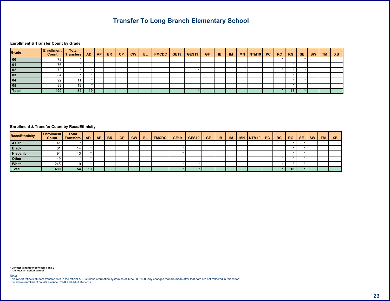$9 - 4$ 

**@** ! ( 7  $\#$ 

<span id="page-23-0"></span>

|  | & | $-$ % $\blacksquare$ |  |  |  |  |  |  | %! | %7 | # |  | $2 -$ |
|--|---|----------------------|--|--|--|--|--|--|----|----|---|--|-------|
|  |   |                      |  |  |  |  |  |  |    |    |   |  |       |
|  |   |                      |  |  |  |  |  |  |    |    |   |  |       |
|  |   |                      |  |  |  |  |  |  |    |    |   |  |       |
|  |   |                      |  |  |  |  |  |  |    |    |   |  |       |
|  |   |                      |  |  |  |  |  |  |    |    |   |  |       |
|  |   |                      |  |  |  |  |  |  |    |    |   |  |       |
|  |   |                      |  |  |  |  |  |  |    |    |   |  |       |

| $\frac{9}{6}$ A# |  |  | $\vert$ - % $\vert$ ! |  |  |  |  |  |  |  |  |  |
|------------------|--|--|-----------------------|--|--|--|--|--|--|--|--|--|
|                  |  |  |                       |  |  |  |  |  |  |  |  |  |
|                  |  |  |                       |  |  |  |  |  |  |  |  |  |
|                  |  |  |                       |  |  |  |  |  |  |  |  |  |
|                  |  |  |                       |  |  |  |  |  |  |  |  |  |
|                  |  |  |                       |  |  |  |  |  |  |  |  |  |
|                  |  |  |                       |  |  |  |  |  |  |  |  |  |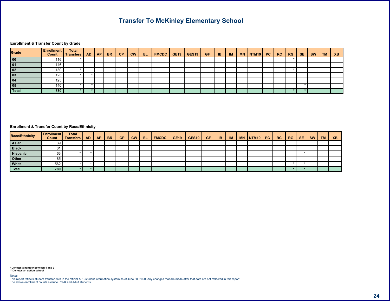**@** ! ( 7  $\#$ 

<span id="page-24-0"></span>

|          | & | $-$ % $\blacksquare$ |  | $\vert$ !< $\vert$ #9 $\vert$ \$.1&! $\vert$ 7# + 7# + 7\$ $\vert$ >- $\vert$ >. |  |  |  |  |  | $%$ ! $%$ 7 # |  |  |
|----------|---|----------------------|--|----------------------------------------------------------------------------------|--|--|--|--|--|---------------|--|--|
|          |   |                      |  |                                                                                  |  |  |  |  |  |               |  |  |
|          |   |                      |  |                                                                                  |  |  |  |  |  |               |  |  |
| $\Omega$ |   |                      |  |                                                                                  |  |  |  |  |  |               |  |  |
|          |   |                      |  |                                                                                  |  |  |  |  |  |               |  |  |
|          |   |                      |  |                                                                                  |  |  |  |  |  |               |  |  |
|          |   |                      |  |                                                                                  |  |  |  |  |  |               |  |  |
|          |   |                      |  |                                                                                  |  |  |  |  |  |               |  |  |

| $\frac{9}{6}$ A# |        | $\alpha$ | $-$ % $\blacksquare$ |  | $\vert \cdot \vert$ $\vert \cdot \vert$ $\vert \cdot \vert$ $\vert \cdot \vert$ $\vert \cdot \vert$ $\vert \cdot \vert$ $\vert \cdot \vert$ $\vert \cdot \vert$ $\vert \cdot \vert$ $\vert \cdot \vert$ $\vert \cdot \vert$ $\vert \cdot \vert$ $\vert \cdot \vert$ $\vert \cdot \vert$ $\vert \cdot \vert$ $\vert \cdot \vert$ $\vert \cdot \vert$ $\vert \cdot \vert$ $\vert \cdot \vert$ $\vert \cdot \vert$ $\vert \cdot \vert$ $\vert \cdot \vert$ $\vert \cdot \vert$ $\vert \cdot \vert$ $\vert \cdot$ |  |  |  |  | $\frac{9}{6}$ $\frac{1}{6}$ $\frac{9}{6}$ 7 | # |  |  |
|------------------|--------|----------|----------------------|--|---------------------------------------------------------------------------------------------------------------------------------------------------------------------------------------------------------------------------------------------------------------------------------------------------------------------------------------------------------------------------------------------------------------------------------------------------------------------------------------------------------------|--|--|--|--|---------------------------------------------|---|--|--|
|                  |        |          |                      |  |                                                                                                                                                                                                                                                                                                                                                                                                                                                                                                               |  |  |  |  |                                             |   |  |  |
|                  |        |          |                      |  |                                                                                                                                                                                                                                                                                                                                                                                                                                                                                                               |  |  |  |  |                                             |   |  |  |
|                  |        |          |                      |  |                                                                                                                                                                                                                                                                                                                                                                                                                                                                                                               |  |  |  |  |                                             |   |  |  |
|                  |        |          |                      |  |                                                                                                                                                                                                                                                                                                                                                                                                                                                                                                               |  |  |  |  |                                             |   |  |  |
|                  |        |          |                      |  |                                                                                                                                                                                                                                                                                                                                                                                                                                                                                                               |  |  |  |  |                                             |   |  |  |
|                  | $\sim$ |          |                      |  |                                                                                                                                                                                                                                                                                                                                                                                                                                                                                                               |  |  |  |  |                                             |   |  |  |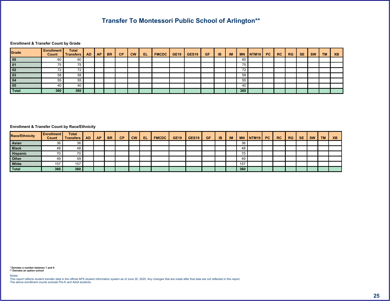55

**@** ! ( 7  $\#$ 

<span id="page-25-0"></span>

|  | $\alpha$ | $-$ % |  | $\vert \cdot \vert < \vert$ #9 \$.18.1 7# + 7# + 7\$ >   > |  |  |  | A. | $%!$ $%$ 7 # |  | $2 -$ |
|--|----------|-------|--|------------------------------------------------------------|--|--|--|----|--------------|--|-------|
|  |          |       |  |                                                            |  |  |  |    |              |  |       |
|  |          |       |  |                                                            |  |  |  |    |              |  |       |
|  |          |       |  |                                                            |  |  |  |    |              |  |       |
|  |          |       |  |                                                            |  |  |  |    |              |  |       |
|  |          |       |  |                                                            |  |  |  |    |              |  |       |
|  |          |       |  |                                                            |  |  |  |    |              |  |       |
|  |          |       |  |                                                            |  |  |  |    |              |  |       |

| $\frac{9}{6}$ A# |  | $\alpha$ |  |  |  |  |  |  |  |  |  |  |
|------------------|--|----------|--|--|--|--|--|--|--|--|--|--|
|                  |  |          |  |  |  |  |  |  |  |  |  |  |
|                  |  |          |  |  |  |  |  |  |  |  |  |  |
|                  |  |          |  |  |  |  |  |  |  |  |  |  |
|                  |  |          |  |  |  |  |  |  |  |  |  |  |
|                  |  |          |  |  |  |  |  |  |  |  |  |  |
|                  |  |          |  |  |  |  |  |  |  |  |  |  |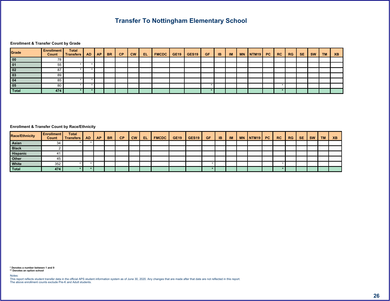#### **@** | (7  $\#$

<span id="page-26-0"></span>

|  | & | $-$ % $\blacksquare$ |  |  |  |  |  |  | $%$ ! | $%7$ # |  | $2 -$ |
|--|---|----------------------|--|--|--|--|--|--|-------|--------|--|-------|
|  |   |                      |  |  |  |  |  |  |       |        |  |       |
|  |   |                      |  |  |  |  |  |  |       |        |  |       |
|  |   |                      |  |  |  |  |  |  |       |        |  |       |
|  |   |                      |  |  |  |  |  |  |       |        |  |       |
|  |   |                      |  |  |  |  |  |  |       |        |  |       |
|  |   |                      |  |  |  |  |  |  |       |        |  |       |
|  |   |                      |  |  |  |  |  |  |       |        |  |       |

| $\frac{9}{6}$ A# |          | $\alpha$ | $-$ % |  |  |  |  |  | +   !   % !   % 7   # |  |  |  |  |
|------------------|----------|----------|-------|--|--|--|--|--|-----------------------|--|--|--|--|
|                  |          |          |       |  |  |  |  |  |                       |  |  |  |  |
|                  |          |          |       |  |  |  |  |  |                       |  |  |  |  |
|                  |          |          |       |  |  |  |  |  |                       |  |  |  |  |
|                  |          |          |       |  |  |  |  |  |                       |  |  |  |  |
|                  | 10L      |          |       |  |  |  |  |  |                       |  |  |  |  |
|                  | $\Omega$ |          |       |  |  |  |  |  |                       |  |  |  |  |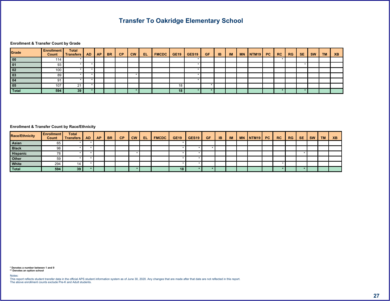$\begin{array}{ccc} \cdots & \vdots & \ddots & \vdots \end{array}$ 

**@** ! ( 7  $\#$ 

<span id="page-27-0"></span>

|  | & | $-$ % |  |  |  |  |  |  | $\frac{9}{6}$ ! | %7 | # |  | $2 -$ |
|--|---|-------|--|--|--|--|--|--|-----------------|----|---|--|-------|
|  |   |       |  |  |  |  |  |  |                 |    |   |  |       |
|  |   |       |  |  |  |  |  |  |                 |    |   |  |       |
|  |   |       |  |  |  |  |  |  |                 |    |   |  |       |
|  |   |       |  |  |  |  |  |  |                 |    |   |  |       |
|  |   |       |  |  |  |  |  |  |                 |    |   |  |       |
|  |   |       |  |  |  |  |  |  |                 |    |   |  |       |
|  |   |       |  |  |  |  |  |  |                 |    |   |  |       |

| $\frac{9}{6}$ A# |  |  | $-$ % |  | $\vert \cdot \vert$ $\vert \cdot \vert$ $\vert \cdot \vert$ $\vert \cdot \vert$ $\vert \cdot \vert$ $\vert \cdot \vert$ $\vert \cdot \vert$ $\vert \cdot \vert$ $\vert \cdot \vert$ $\vert \cdot \vert$ $\vert \cdot \vert$ $\vert \cdot \vert$ $\vert \cdot \vert$ $\vert \cdot \vert$ $\vert \cdot \vert$ $\vert \cdot \vert$ $\vert \cdot \vert$ $\vert \cdot \vert$ $\vert \cdot \vert$ $\vert \cdot \vert$ $\vert \cdot \vert$ $\vert \cdot \vert$ $\vert \cdot \vert$ $\vert \cdot \vert$ $\vert \cdot$ |  |  |  |  | $\frac{1}{6}$ %! $\frac{1}{6}$ % 7 | - # I |  |  |
|------------------|--|--|-------|--|---------------------------------------------------------------------------------------------------------------------------------------------------------------------------------------------------------------------------------------------------------------------------------------------------------------------------------------------------------------------------------------------------------------------------------------------------------------------------------------------------------------|--|--|--|--|------------------------------------|-------|--|--|
|                  |  |  |       |  |                                                                                                                                                                                                                                                                                                                                                                                                                                                                                                               |  |  |  |  |                                    |       |  |  |
|                  |  |  |       |  |                                                                                                                                                                                                                                                                                                                                                                                                                                                                                                               |  |  |  |  |                                    |       |  |  |
|                  |  |  |       |  |                                                                                                                                                                                                                                                                                                                                                                                                                                                                                                               |  |  |  |  |                                    |       |  |  |
|                  |  |  |       |  |                                                                                                                                                                                                                                                                                                                                                                                                                                                                                                               |  |  |  |  |                                    |       |  |  |
|                  |  |  |       |  |                                                                                                                                                                                                                                                                                                                                                                                                                                                                                                               |  |  |  |  |                                    |       |  |  |
|                  |  |  |       |  |                                                                                                                                                                                                                                                                                                                                                                                                                                                                                                               |  |  |  |  |                                    |       |  |  |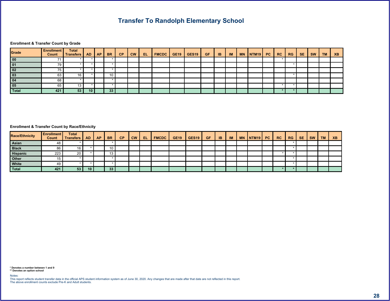$\%$  $\frac{1}{2}$ 

**@** ! ( 7  $\#$ 

<span id="page-28-0"></span>

|  | & | $-$ % |  |  |  |  |  |  | $%$ ! $%$ 7 # |  | $2 -$ |
|--|---|-------|--|--|--|--|--|--|---------------|--|-------|
|  |   |       |  |  |  |  |  |  |               |  |       |
|  |   |       |  |  |  |  |  |  |               |  |       |
|  |   |       |  |  |  |  |  |  |               |  |       |
|  |   |       |  |  |  |  |  |  |               |  |       |
|  |   |       |  |  |  |  |  |  |               |  |       |
|  |   |       |  |  |  |  |  |  |               |  |       |
|  |   |       |  |  |  |  |  |  |               |  |       |

| $\frac{9}{6}$ A# |  |  | $-$ % $\blacksquare$ |  | $\vert \cdot \vert \cdot \vert$ #9 \$ .1&! 7# + 7# + 7\$ > - >   . |  |  |  |  |  |  |  |
|------------------|--|--|----------------------|--|--------------------------------------------------------------------|--|--|--|--|--|--|--|
|                  |  |  |                      |  |                                                                    |  |  |  |  |  |  |  |
|                  |  |  |                      |  |                                                                    |  |  |  |  |  |  |  |
|                  |  |  |                      |  |                                                                    |  |  |  |  |  |  |  |
|                  |  |  |                      |  |                                                                    |  |  |  |  |  |  |  |
|                  |  |  |                      |  |                                                                    |  |  |  |  |  |  |  |
|                  |  |  |                      |  |                                                                    |  |  |  |  |  |  |  |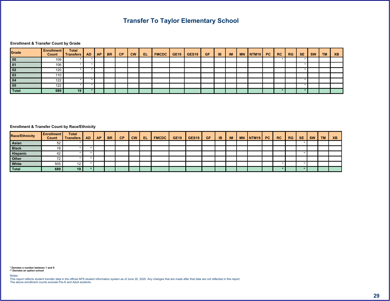#### **@** ! ( 7  $\#$

<span id="page-29-0"></span>

|  | & | $-$ % |  | $\vert \langle \cdot \vert \vert \neq 9 \vert \vert \$ . $\vert \& \vert \vert \rightarrow \bot \rangle$ 7# + 7# + 7\ 7\ \cdot - \cdot - \cdot - \cdot - \cdot - \cdot - \cdot - \cdot - \cdot - \cdot - \cdot - \cdot - \cdot - \cdot - \cdot - \cdot - \cdot - \cdot - \cdot - \cdot - \cd |  |  |  |  | $\frac{9}{6}$ ! $\frac{9}{6}$ 7 # |  | $2 -$ |
|--|---|-------|--|----------------------------------------------------------------------------------------------------------------------------------------------------------------------------------------------------------------------------------------------------------------------------------------------|--|--|--|--|-----------------------------------|--|-------|
|  |   |       |  |                                                                                                                                                                                                                                                                                              |  |  |  |  |                                   |  |       |
|  |   |       |  |                                                                                                                                                                                                                                                                                              |  |  |  |  |                                   |  |       |
|  |   |       |  |                                                                                                                                                                                                                                                                                              |  |  |  |  |                                   |  |       |
|  |   |       |  |                                                                                                                                                                                                                                                                                              |  |  |  |  |                                   |  |       |
|  |   |       |  |                                                                                                                                                                                                                                                                                              |  |  |  |  |                                   |  |       |
|  |   |       |  |                                                                                                                                                                                                                                                                                              |  |  |  |  |                                   |  |       |
|  |   |       |  |                                                                                                                                                                                                                                                                                              |  |  |  |  |                                   |  |       |

| $\frac{9}{6}$ A# |  | $\alpha$ | $-$ % |  | $\vert \cdot \vert \cdot \vert$ #9 \$.18! $\vert 7 \#$ + $\vert 7 \#$ + 7\$ > $\vert$ >. |  |  |  |  | $\frac{9}{6}$ ! % 7 | # |  |  |
|------------------|--|----------|-------|--|------------------------------------------------------------------------------------------|--|--|--|--|---------------------|---|--|--|
|                  |  |          |       |  |                                                                                          |  |  |  |  |                     |   |  |  |
|                  |  |          |       |  |                                                                                          |  |  |  |  |                     |   |  |  |
|                  |  |          |       |  |                                                                                          |  |  |  |  |                     |   |  |  |
|                  |  |          |       |  |                                                                                          |  |  |  |  |                     |   |  |  |
|                  |  |          |       |  |                                                                                          |  |  |  |  |                     |   |  |  |
|                  |  |          |       |  |                                                                                          |  |  |  |  |                     |   |  |  |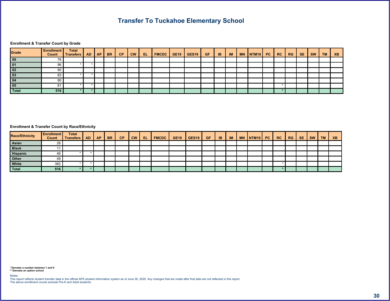$\frac{1}{2}$   $\frac{1}{2}$   $\frac{1}{2}$   $\frac{1}{2}$   $\frac{1}{2}$   $\frac{1}{2}$   $\frac{1}{2}$   $\frac{1}{2}$   $\frac{1}{2}$   $\frac{1}{2}$   $\frac{1}{2}$   $\frac{1}{2}$   $\frac{1}{2}$   $\frac{1}{2}$   $\frac{1}{2}$   $\frac{1}{2}$   $\frac{1}{2}$   $\frac{1}{2}$   $\frac{1}{2}$   $\frac{1}{2}$   $\frac{1}{2}$   $\frac{1}{2}$ 

**@** ! ( 7  $\#$ 

<span id="page-30-0"></span>

|  | & | $-$ % |  | $\vert \cdot \vert < \vert$ #9 \$.18! $\vert$ 7# + 7# + 7\$ >   >   > |  |  |  |  | $%$ ! $%$ 7 # |  | $2 -$ |
|--|---|-------|--|-----------------------------------------------------------------------|--|--|--|--|---------------|--|-------|
|  |   |       |  |                                                                       |  |  |  |  |               |  |       |
|  |   |       |  |                                                                       |  |  |  |  |               |  |       |
|  |   |       |  |                                                                       |  |  |  |  |               |  |       |
|  |   |       |  |                                                                       |  |  |  |  |               |  |       |
|  |   |       |  |                                                                       |  |  |  |  |               |  |       |
|  |   |       |  |                                                                       |  |  |  |  |               |  |       |
|  |   |       |  |                                                                       |  |  |  |  |               |  |       |

| $\frac{9}{6}$ A# |  | $\alpha$ | $-$ % $\blacksquare$ |  |  |  |  |  |  | $\begin{array}{ c c c c c c c c } \hline \quad \% & \quad \% & \quad \end{array}$ | —# ∣ |  |  |
|------------------|--|----------|----------------------|--|--|--|--|--|--|-----------------------------------------------------------------------------------|------|--|--|
|                  |  |          |                      |  |  |  |  |  |  |                                                                                   |      |  |  |
|                  |  |          |                      |  |  |  |  |  |  |                                                                                   |      |  |  |
|                  |  |          |                      |  |  |  |  |  |  |                                                                                   |      |  |  |
|                  |  |          |                      |  |  |  |  |  |  |                                                                                   |      |  |  |
|                  |  |          |                      |  |  |  |  |  |  |                                                                                   |      |  |  |
|                  |  |          |                      |  |  |  |  |  |  |                                                                                   |      |  |  |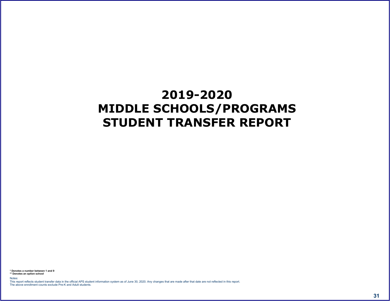# <span id="page-31-0"></span> $8/$ , .),  $0 8$

 $58$ <br> $558$ <br>; "  $($   $($  6  $+$  $\circledcirc$  $\mathcal{L}_{\text{max}}$  and  $\mathcal{L}_{\text{max}}$ 

 $$ \t% #$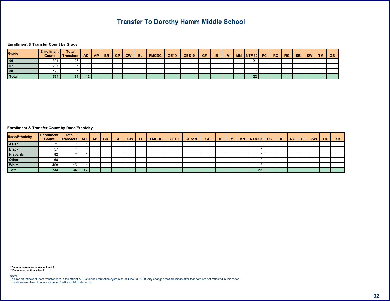8 8 .

 $\qquad \qquad \textcircled{1} \qquad \qquad \textcircled{1} \qquad \qquad \textcircled{1}$  $#$ 

|  |  |  |  | -% ! !<  #9 \$.!&!  7# +  7\$   >-  >.  .        %!  %7  #  < |  |  |  |  |  |  |  |
|--|--|--|--|---------------------------------------------------------------|--|--|--|--|--|--|--|
|  |  |  |  |                                                               |  |  |  |  |  |  |  |
|  |  |  |  |                                                               |  |  |  |  |  |  |  |
|  |  |  |  |                                                               |  |  |  |  |  |  |  |
|  |  |  |  |                                                               |  |  |  |  |  |  |  |

<span id="page-32-0"></span>

| $\frac{9}{6}$ A# |  | $\alpha$ | $\frac{1}{2}$ - % |  | $\vert \vert \cdot \vert$ $\vert \pm 9 \vert$ \$.18! $\vert 7 \# + \vert 7 \# + \vert 7 \# + \vert 7 \# \vert > \vert > \vert$ . |  |  |  |  | — % !   % 7    # |  |  |  |
|------------------|--|----------|-------------------|--|----------------------------------------------------------------------------------------------------------------------------------|--|--|--|--|------------------|--|--|--|
|                  |  |          |                   |  |                                                                                                                                  |  |  |  |  |                  |  |  |  |
|                  |  |          |                   |  |                                                                                                                                  |  |  |  |  |                  |  |  |  |
|                  |  |          |                   |  |                                                                                                                                  |  |  |  |  |                  |  |  |  |
|                  |  |          |                   |  |                                                                                                                                  |  |  |  |  |                  |  |  |  |
|                  |  |          |                   |  |                                                                                                                                  |  |  |  |  |                  |  |  |  |
|                  |  |          |                   |  |                                                                                                                                  |  |  |  |  |                  |  |  |  |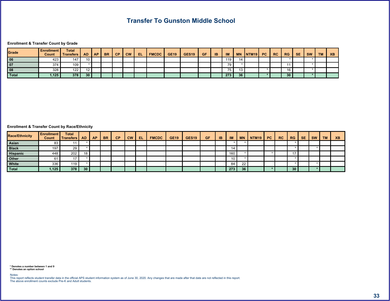#### **@** ! ( 7  $\#$

|  |  |  |  |  | -% !   !<   #9 \$.!&!  7# +  7# +  7\$  >-  >. |  |  |  | $\parallel$ %! $\parallel$ % 7 $\parallel$ # |  |  |
|--|--|--|--|--|------------------------------------------------|--|--|--|----------------------------------------------|--|--|
|  |  |  |  |  |                                                |  |  |  |                                              |  |  |
|  |  |  |  |  |                                                |  |  |  |                                              |  |  |
|  |  |  |  |  |                                                |  |  |  |                                              |  |  |
|  |  |  |  |  |                                                |  |  |  |                                              |  |  |

#### <span id="page-33-0"></span>**@** ! ( % A#  $\#$

| $\frac{9}{6}$ A# |  | $\alpha$ | $-$ % $\blacksquare$ |  | $\vert \vert \cdot \vert$ $\vert \pm 9 \vert$ \$.18.1 7# + 7# + 7\$ > > > |  |  |  |  | $\frac{9}{6}$ ! $\frac{9}{6}$ 7 # |  |  |  |
|------------------|--|----------|----------------------|--|---------------------------------------------------------------------------|--|--|--|--|-----------------------------------|--|--|--|
|                  |  |          |                      |  |                                                                           |  |  |  |  |                                   |  |  |  |
|                  |  |          |                      |  |                                                                           |  |  |  |  |                                   |  |  |  |
|                  |  |          |                      |  |                                                                           |  |  |  |  |                                   |  |  |  |
|                  |  |          |                      |  |                                                                           |  |  |  |  |                                   |  |  |  |
|                  |  |          |                      |  |                                                                           |  |  |  |  |                                   |  |  |  |
|                  |  |          |                      |  |                                                                           |  |  |  |  |                                   |  |  |  |

 $(6)$  $\begin{array}{cc} 5 & 8 \\ 5 & 5 & 8 \end{array}$  $\pm$  10  $^{-1}$   $^{-1}$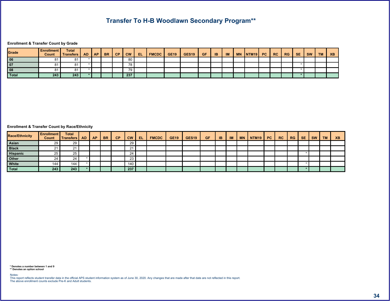$8, -<$  6 55

**@** | (7  $\#$ 

<span id="page-34-0"></span>

| $\frac{9}{6}$ A# |  |  | $-$ % $\vert$ ! |  |  |  |  |  |  | <u> </u>   %!  %7  #  < |  |  |  |
|------------------|--|--|-----------------|--|--|--|--|--|--|-------------------------|--|--|--|
|                  |  |  |                 |  |  |  |  |  |  |                         |  |  |  |
|                  |  |  |                 |  |  |  |  |  |  |                         |  |  |  |
|                  |  |  |                 |  |  |  |  |  |  |                         |  |  |  |
|                  |  |  |                 |  |  |  |  |  |  |                         |  |  |  |
|                  |  |  |                 |  |  |  |  |  |  |                         |  |  |  |
|                  |  |  |                 |  |  |  |  |  |  |                         |  |  |  |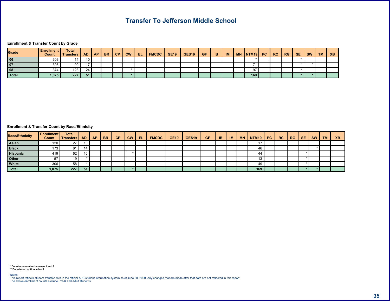#### **@** ! ( 7  $\#$

|  |  |  |  |  | -% ! !<  #9 \$.!&!  7# +  7\$  >-  >. .    +  ! %!  %7  #  < . |  |  |  |  |  |  |
|--|--|--|--|--|----------------------------------------------------------------|--|--|--|--|--|--|
|  |  |  |  |  |                                                                |  |  |  |  |  |  |
|  |  |  |  |  |                                                                |  |  |  |  |  |  |
|  |  |  |  |  |                                                                |  |  |  |  |  |  |
|  |  |  |  |  |                                                                |  |  |  |  |  |  |

 $\mathcal{L}(\mathcal{L}(\mathcal{L}))$  and  $\mathcal{L}(\mathcal{L}(\mathcal{L}))$  . The contribution

#### <span id="page-35-0"></span>@ ! ( % A#  $\#$

| $\frac{9}{6}$ A# |  |  | $-$ % $\vert$ |  | $\vert \vert \cdot \vert$ $\vert \cdot \vert$ $\vert \cdot \vert$ $\vert \cdot \vert$ $\vert \cdot \vert$ $\vert \cdot \vert$ $\vert \cdot \vert$ $\vert \cdot \vert$ $\vert \cdot \vert$ $\vert \cdot \vert$ $\vert \cdot \vert$ $\vert \cdot \vert$ $\vert \cdot \vert$ $\vert \cdot \vert$ $\vert \cdot \vert$ $\vert \cdot \vert$ $\vert \cdot \vert$ $\vert \cdot \vert$ $\vert \cdot \vert$ $\vert \cdot \vert$ $\vert \cdot \vert$ $\vert \cdot \vert$ $\vert \cdot \vert$ $\vert \cdot \vert$ $\vert$ |  |  |  |  | $\parallel$ %! $\parallel$ % 7 # $\parallel$ |  |  |  |
|------------------|--|--|---------------|--|---------------------------------------------------------------------------------------------------------------------------------------------------------------------------------------------------------------------------------------------------------------------------------------------------------------------------------------------------------------------------------------------------------------------------------------------------------------------------------------------------------------|--|--|--|--|----------------------------------------------|--|--|--|
|                  |  |  |               |  |                                                                                                                                                                                                                                                                                                                                                                                                                                                                                                               |  |  |  |  |                                              |  |  |  |
|                  |  |  |               |  |                                                                                                                                                                                                                                                                                                                                                                                                                                                                                                               |  |  |  |  |                                              |  |  |  |
|                  |  |  |               |  |                                                                                                                                                                                                                                                                                                                                                                                                                                                                                                               |  |  |  |  |                                              |  |  |  |
|                  |  |  |               |  |                                                                                                                                                                                                                                                                                                                                                                                                                                                                                                               |  |  |  |  |                                              |  |  |  |
|                  |  |  |               |  |                                                                                                                                                                                                                                                                                                                                                                                                                                                                                                               |  |  |  |  |                                              |  |  |  |
|                  |  |  |               |  |                                                                                                                                                                                                                                                                                                                                                                                                                                                                                                               |  |  |  |  |                                              |  |  |  |

 $(6)$  $\begin{array}{cc} 5 & 8 \\ 5 & 5 & 8 \end{array}$  $\chi^2 \to \pi^0$  $\omega$  and the contract of  $\omega$ 

 $\frac{1}{2}$  % #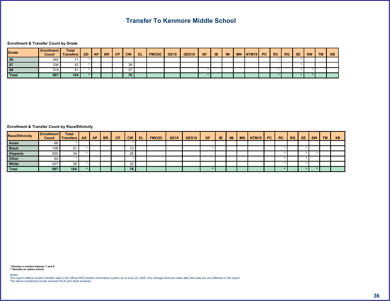# the control of the control of the

#### **@** | (7  $\#$

|  |  |  |  |  | $-$ %  !  <   #9   \$   8!   7# +   7# +   7\$   >   >     + |  |  |  |  |  | $\sim$ $\sim$ $\sim$ |
|--|--|--|--|--|--------------------------------------------------------------|--|--|--|--|--|----------------------|
|  |  |  |  |  |                                                              |  |  |  |  |  |                      |
|  |  |  |  |  |                                                              |  |  |  |  |  |                      |
|  |  |  |  |  |                                                              |  |  |  |  |  |                      |
|  |  |  |  |  |                                                              |  |  |  |  |  |                      |

#### <span id="page-36-0"></span>**@** ! ( % A#  $\#$

| $\frac{9}{6}$ A# |  |  | $\sim$ $\sim$ $\sim$ $\sim$ |  | $\vert \cdot \vert \cdot \vert$ #9 \$.18! 7# + 7# + 7\$ > > > . |  |  |  | +   !   % !   % 7   #   < |  |  |  |  |
|------------------|--|--|-----------------------------|--|-----------------------------------------------------------------|--|--|--|---------------------------|--|--|--|--|
|                  |  |  |                             |  |                                                                 |  |  |  |                           |  |  |  |  |
|                  |  |  |                             |  |                                                                 |  |  |  |                           |  |  |  |  |
|                  |  |  |                             |  |                                                                 |  |  |  |                           |  |  |  |  |
|                  |  |  |                             |  |                                                                 |  |  |  |                           |  |  |  |  |
|                  |  |  |                             |  |                                                                 |  |  |  |                           |  |  |  |  |
|                  |  |  |                             |  |                                                                 |  |  |  |                           |  |  |  |  |

 $( 6 +$  $5 \text{ \&br>55 \&br>$  $\chi^2 \to \pi^0$  $\omega$  and the contract of  $\omega$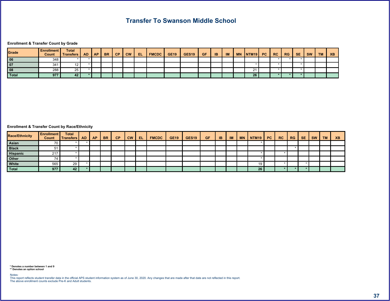**@** ! ( 7  $\#$ 

<span id="page-37-0"></span>

|  |  |  |  |  | -% ! !<  #9 \$.!&!  7# +  7# +  7\$  >-  >.  .  +  ! %!  %7  # |  |  |  |  |  |  |
|--|--|--|--|--|----------------------------------------------------------------|--|--|--|--|--|--|
|  |  |  |  |  |                                                                |  |  |  |  |  |  |
|  |  |  |  |  |                                                                |  |  |  |  |  |  |
|  |  |  |  |  |                                                                |  |  |  |  |  |  |
|  |  |  |  |  |                                                                |  |  |  |  |  |  |

| $\frac{9}{6}$ A# |  |  | $-\%$   ! |  |  |  |  |  |  | $\parallel$   %   % 7   #   < |  |  |  |
|------------------|--|--|-----------|--|--|--|--|--|--|-------------------------------|--|--|--|
|                  |  |  |           |  |  |  |  |  |  |                               |  |  |  |
|                  |  |  |           |  |  |  |  |  |  |                               |  |  |  |
|                  |  |  |           |  |  |  |  |  |  |                               |  |  |  |
|                  |  |  |           |  |  |  |  |  |  |                               |  |  |  |
|                  |  |  |           |  |  |  |  |  |  |                               |  |  |  |
|                  |  |  |           |  |  |  |  |  |  |                               |  |  |  |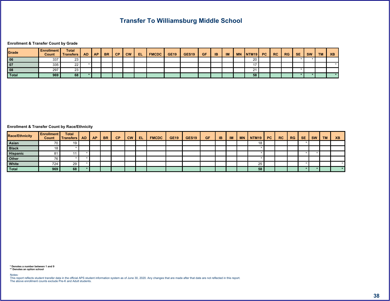

**@** | (7  $\#$ 

<span id="page-38-0"></span>

|  |  |  |  |  | -% ! !< #9 \$.!&! 7#+ 7#+ 7\$ >- >    %! %7 # < |  |  |  |  |  |  |
|--|--|--|--|--|-------------------------------------------------|--|--|--|--|--|--|
|  |  |  |  |  |                                                 |  |  |  |  |  |  |
|  |  |  |  |  |                                                 |  |  |  |  |  |  |
|  |  |  |  |  |                                                 |  |  |  |  |  |  |
|  |  |  |  |  |                                                 |  |  |  |  |  |  |

| $\frac{9}{6}$ A# |  |  | $-$ % $\vert$ ! |  |  |  |  |  |  |  |  |  |
|------------------|--|--|-----------------|--|--|--|--|--|--|--|--|--|
|                  |  |  |                 |  |  |  |  |  |  |  |  |  |
|                  |  |  |                 |  |  |  |  |  |  |  |  |  |
|                  |  |  |                 |  |  |  |  |  |  |  |  |  |
|                  |  |  |                 |  |  |  |  |  |  |  |  |  |
|                  |  |  |                 |  |  |  |  |  |  |  |  |  |
|                  |  |  |                 |  |  |  |  |  |  |  |  |  |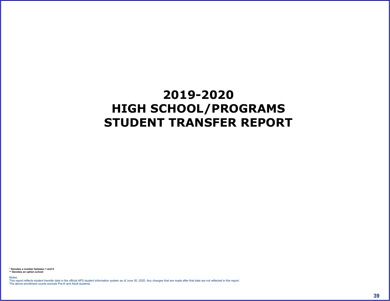# <span id="page-39-0"></span> $)(0)$  .),  $(0 8)$

 $\begin{array}{cc} 5 & 8 \\ 5 & 5 & 8 \end{array}$  $($   $(6)$  +  $\pm$  10  $^{\circ}$  $\omega$  and  $\omega$  and  $\omega$  and  $\omega$  and  $\omega$  and  $\omega$  and  $\omega$  and  $\omega$  and  $\omega$  and  $\omega$  and  $\omega$  and  $\omega$  and  $\omega$  and  $\omega$  and  $\omega$  and  $\omega$  and  $\omega$  and  $\omega$  and  $\omega$  and  $\omega$  and  $\omega$  and  $\omega$  and  $\omega$  and  $\omega$  and  $\omega$ 

 $\frac{1}{2}$  % #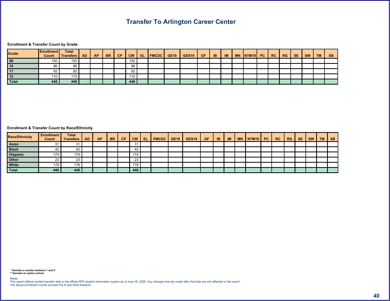$\sim 10^{-10}$  . The second state  $\sim 10^{-10}$ 

#### $\circledcirc$   $\qquad$   $\qquad$   $\qquad$   $\qquad$   $\qquad$   $\qquad$   $\qquad$   $\qquad$   $\qquad$   $\qquad$   $\qquad$   $\qquad$   $\qquad$   $\qquad$   $\qquad$   $\qquad$   $\qquad$   $\qquad$   $\qquad$   $\qquad$   $\qquad$   $\qquad$   $\qquad$   $\qquad$   $\qquad$   $\qquad$   $\qquad$   $\qquad$   $\qquad$   $\qquad$   $\qquad$   $\qquad$   $\qquad$   $\qquad$   $\qquad$   $\qquad$  $#$

| $\sim$ $\sim$<br>__ |  |  | 22 |  |  |  |  |  |  |  |  |
|---------------------|--|--|----|--|--|--|--|--|--|--|--|

#### <span id="page-40-0"></span>**@** ! ( % A#  $\#$

| $\frac{9}{6}$ A# |     | $^{\circ}$ | $-$ % $\blacksquare$ |   |  |  |  |  |  | $\%$ ! $\%$ 7 | # |  |  |
|------------------|-----|------------|----------------------|---|--|--|--|--|--|---------------|---|--|--|
|                  |     |            |                      | % |  |  |  |  |  |               |   |  |  |
|                  |     |            |                      |   |  |  |  |  |  |               |   |  |  |
|                  | = 1 |            |                      |   |  |  |  |  |  |               |   |  |  |
|                  |     |            |                      |   |  |  |  |  |  |               |   |  |  |
|                  |     |            |                      |   |  |  |  |  |  |               |   |  |  |
|                  |     |            |                      |   |  |  |  |  |  |               |   |  |  |

 $( 6 +$  $\begin{array}{ccc} & 5 & 8 \\ 5 & 5 & 8 \end{array}$  $\chi^2 \sim 20$ 

 $\omega$  and the contract of  $\omega$ 

 $$ \t% #$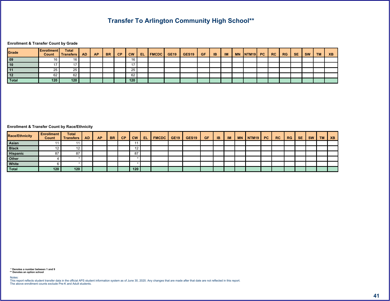$\begin{array}{ccc} & 8 & \quad 55 \end{array}$ 

**@** ! (7  $\#$ 

#### <span id="page-41-0"></span>@  $\qquad \qquad : \qquad ( \qquad \% \qquad A \#$  $\#$

| $\frac{9}{6}$ A# |  | $\alpha$ |  |  |  | $-$ % $ $ ! $ $ :< $ $ #9 $ $ \$ : 8 : $ $ 7 # + $ $ 7 # + $ $ 7 \$ $ $ > - $ $ > . |  |  |  | $\left  \frac{9}{6} \right  \left  \frac{9}{6} \right  \left  \frac{4}{6} \right $ |  |  |  |
|------------------|--|----------|--|--|--|-------------------------------------------------------------------------------------|--|--|--|------------------------------------------------------------------------------------|--|--|--|
|                  |  |          |  |  |  |                                                                                     |  |  |  |                                                                                    |  |  |  |
|                  |  |          |  |  |  |                                                                                     |  |  |  |                                                                                    |  |  |  |
|                  |  |          |  |  |  |                                                                                     |  |  |  |                                                                                    |  |  |  |
|                  |  |          |  |  |  |                                                                                     |  |  |  |                                                                                    |  |  |  |
|                  |  |          |  |  |  |                                                                                     |  |  |  |                                                                                    |  |  |  |
|                  |  |          |  |  |  |                                                                                     |  |  |  |                                                                                    |  |  |  |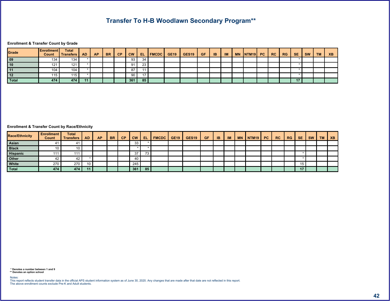$8, -<$  6 55

**@** | (7  $\#$ 

<span id="page-42-0"></span>

|  |  |  |  |  | $-$ % $\begin{bmatrix} 1 \\ 2 \end{bmatrix}$ $\begin{bmatrix} 1 & 1 \\ 1 & 2 \end{bmatrix}$ $\begin{bmatrix} 4 & 9 \\ 3 & 1 \end{bmatrix}$ $\begin{bmatrix} 3 & 1 & 8 \\ 3 & 1 & 8 \end{bmatrix}$ $\begin{bmatrix} 7 & 4 & 1 \\ 7 & 4 & 1 \end{bmatrix}$ $\begin{bmatrix} 7 & 5 & 3 \\ 7 & 5 & 3 \end{bmatrix}$ $\begin{bmatrix} 2 & 1 & 1 \\ 2 & 1 & 1 \end{bmatrix}$ |  |  |  | $\frac{9}{6}$ ! % 7 # |  |  |
|--|--|--|--|--|------------------------------------------------------------------------------------------------------------------------------------------------------------------------------------------------------------------------------------------------------------------------------------------------------------------------------------------------------------------------|--|--|--|-----------------------|--|--|
|  |  |  |  |  |                                                                                                                                                                                                                                                                                                                                                                        |  |  |  |                       |  |  |
|  |  |  |  |  |                                                                                                                                                                                                                                                                                                                                                                        |  |  |  |                       |  |  |
|  |  |  |  |  |                                                                                                                                                                                                                                                                                                                                                                        |  |  |  |                       |  |  |
|  |  |  |  |  |                                                                                                                                                                                                                                                                                                                                                                        |  |  |  |                       |  |  |
|  |  |  |  |  |                                                                                                                                                                                                                                                                                                                                                                        |  |  |  |                       |  |  |

| $\frac{9}{6}$ A# |  | $\alpha$ |  |  |  | $-$ % $ $ $ $ $ $ $ $ $ $ $ $ $\neq$ $ $ $\#$ 9 $ $ $\$\,18$ ! $ $ 7 $\#$ + $ $ 7 $\#$ + $ $ 7 $\$\, $ $ $ $ $ $ $ $ $ $ $ $ $ |  |  |  | $\parallel$ %! $\parallel$ % 7 # |  |  | $2 -$ |
|------------------|--|----------|--|--|--|--------------------------------------------------------------------------------------------------------------------------------|--|--|--|----------------------------------|--|--|-------|
|                  |  |          |  |  |  |                                                                                                                                |  |  |  |                                  |  |  |       |
|                  |  |          |  |  |  |                                                                                                                                |  |  |  |                                  |  |  |       |
|                  |  |          |  |  |  |                                                                                                                                |  |  |  |                                  |  |  |       |
|                  |  |          |  |  |  |                                                                                                                                |  |  |  |                                  |  |  |       |
|                  |  |          |  |  |  |                                                                                                                                |  |  |  |                                  |  |  |       |
|                  |  |          |  |  |  |                                                                                                                                |  |  |  |                                  |  |  |       |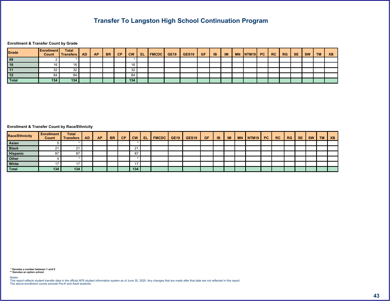$9 \t 8 \t 1$ 

**@** | (7  $\#$ 

<span id="page-43-0"></span>

|  |  |  |  |  | $-$ %   !   !<   #9   \$ 1&!   7# +   7# +   7\$   >   >   .   . +   1 |  |  |  |  |  |  |
|--|--|--|--|--|------------------------------------------------------------------------|--|--|--|--|--|--|
|  |  |  |  |  |                                                                        |  |  |  |  |  |  |
|  |  |  |  |  |                                                                        |  |  |  |  |  |  |
|  |  |  |  |  |                                                                        |  |  |  |  |  |  |
|  |  |  |  |  |                                                                        |  |  |  |  |  |  |
|  |  |  |  |  |                                                                        |  |  |  |  |  |  |

| $\frac{9}{6}$ A# |  | œ |  | $\frac{1}{6}$ - % |  |  |  |  |  |  | $%!$ $%7$ | # |  |  |
|------------------|--|---|--|-------------------|--|--|--|--|--|--|-----------|---|--|--|
|                  |  |   |  |                   |  |  |  |  |  |  |           |   |  |  |
|                  |  |   |  |                   |  |  |  |  |  |  |           |   |  |  |
|                  |  |   |  |                   |  |  |  |  |  |  |           |   |  |  |
|                  |  |   |  |                   |  |  |  |  |  |  |           |   |  |  |
|                  |  |   |  |                   |  |  |  |  |  |  |           |   |  |  |
|                  |  |   |  |                   |  |  |  |  |  |  |           |   |  |  |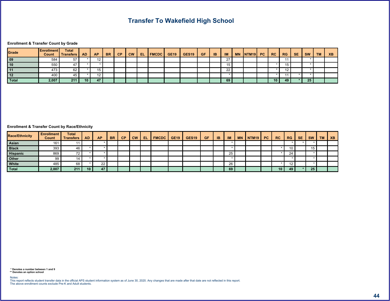$\langle ; \rangle$  8

**@** | (7  $\#$ 

#### <span id="page-44-0"></span>**@** ! ( % A#  $\#$

| $\frac{9}{6}$ A# |  | $^{\circ}$ |  | $-$ % |  |  |  |  |  |  | $\%$ ! $\%$ 7 | # |  |  |
|------------------|--|------------|--|-------|--|--|--|--|--|--|---------------|---|--|--|
|                  |  |            |  |       |  |  |  |  |  |  |               |   |  |  |
|                  |  |            |  |       |  |  |  |  |  |  |               |   |  |  |
|                  |  |            |  |       |  |  |  |  |  |  |               |   |  |  |
|                  |  |            |  |       |  |  |  |  |  |  |               |   |  |  |
|                  |  |            |  |       |  |  |  |  |  |  |               |   |  |  |
|                  |  |            |  |       |  |  |  |  |  |  |               |   |  |  |

 $\begin{array}{ccc} & 5 & 8 \\ 5 & 5 & 8 \end{array}$  $( 6 +$  $\Delta \sim 10^6$ 

 $\omega$  and the contract of  $\omega$ 

 $$ \t% #$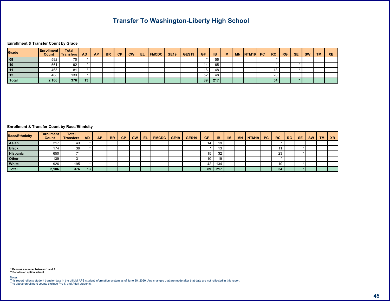$\lt$  , 9 (8)

**@** ! ( 7  $\#$ 

#### <span id="page-45-0"></span>**@** ! ( % A#  $\#$

| $\frac{9}{6}$ A# |  | $\alpha$ | $-$ % |  |  |  |  |  |  | $\frac{9}{6}$ ! $\frac{9}{6}$ 7 # |  |  | $\sim$ $\sim$ |
|------------------|--|----------|-------|--|--|--|--|--|--|-----------------------------------|--|--|---------------|
|                  |  |          |       |  |  |  |  |  |  |                                   |  |  |               |
|                  |  |          |       |  |  |  |  |  |  |                                   |  |  |               |
|                  |  |          |       |  |  |  |  |  |  |                                   |  |  |               |
|                  |  |          |       |  |  |  |  |  |  |                                   |  |  |               |
|                  |  |          |       |  |  |  |  |  |  |                                   |  |  |               |
|                  |  |          |       |  |  |  |  |  |  |                                   |  |  |               |

 $\begin{smallmatrix}5&8\5&5&8\end{smallmatrix}$  $( 6 +$  $\chi \sim 20$ 

 $\begin{array}{ccc} \circ & \circ & \circ \\ \circ & \circ & \circ \end{array}$ 

 $$ \t% #$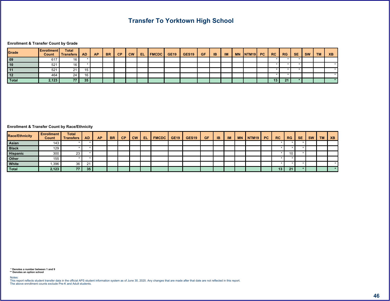$=$  ; 6 8

**@** ! ( 7  $\#$ 

|  |  |  |  |  |  | -%  !  !<  #9  \$.1&!  7# +  7# +  7\$  >-  >.  .    +  !  %!  %7  #  < |  |  |  |  |  |  |
|--|--|--|--|--|--|-------------------------------------------------------------------------|--|--|--|--|--|--|
|  |  |  |  |  |  |                                                                         |  |  |  |  |  |  |
|  |  |  |  |  |  |                                                                         |  |  |  |  |  |  |
|  |  |  |  |  |  |                                                                         |  |  |  |  |  |  |
|  |  |  |  |  |  |                                                                         |  |  |  |  |  |  |
|  |  |  |  |  |  |                                                                         |  |  |  |  |  |  |

#### <span id="page-46-0"></span>**@** ! ( % A#  $\#$

| $\frac{9}{6}$ A# |          | o |  |  |  | $-$ % $\vert$ ! $\vert$ !< $\vert$ #9 $\vert$ \$.!&! $\vert$ 7# + $\vert$ 7# + $\vert$ 7\$ $\vert$ >- $\vert$ >. |  |  |  | $%!$ $%7$ # |  |  | $\sim$ |
|------------------|----------|---|--|--|--|------------------------------------------------------------------------------------------------------------------|--|--|--|-------------|--|--|--------|
|                  |          |   |  |  |  |                                                                                                                  |  |  |  |             |  |  |        |
|                  |          |   |  |  |  |                                                                                                                  |  |  |  |             |  |  |        |
|                  |          |   |  |  |  |                                                                                                                  |  |  |  |             |  |  |        |
|                  |          |   |  |  |  |                                                                                                                  |  |  |  |             |  |  |        |
|                  | $\mu$ 0/ |   |  |  |  |                                                                                                                  |  |  |  |             |  |  |        |
|                  |          |   |  |  |  |                                                                                                                  |  |  |  |             |  |  |        |

 $(6)$  $\begin{array}{ccc} & 5 & 8 \\ 5 & 5 & 8 \end{array}$  $\chi \sim 20$ 

 $\omega$  and  $\omega$  and  $\omega$  and  $\omega$  and  $\omega$  and  $\omega$  and  $\omega$  and  $\omega$  and  $\omega$  and  $\omega$  and  $\omega$  and  $\omega$  and  $\omega$  and  $\omega$  and  $\omega$  and  $\omega$  and  $\omega$  and  $\omega$  and  $\omega$  and  $\omega$  and  $\omega$  and  $\omega$  and  $\omega$  and  $\omega$  and  $\omega$ 

 $\frac{1}{2}$  % #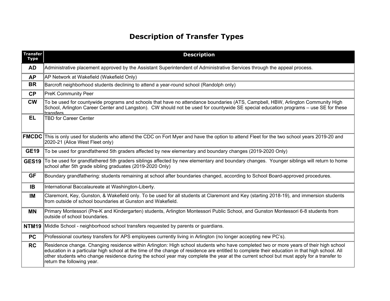$1 \qquad 1 \qquad \%$ 

<span id="page-47-0"></span>

| $\overline{1}$<br>$\%$      |                |                               |                |                          |                                          |                |                |               |             |                      |                                        |             |       |                 |               |       |           |                            |                |                |
|-----------------------------|----------------|-------------------------------|----------------|--------------------------|------------------------------------------|----------------|----------------|---------------|-------------|----------------------|----------------------------------------|-------------|-------|-----------------|---------------|-------|-----------|----------------------------|----------------|----------------|
| $\pmb{\&}$                  |                |                               |                |                          |                                          |                |                |               |             |                      |                                        |             |       |                 |               |       |           |                            |                |                |
|                             |                | $\frac{1}{2}$ .<br>$\sqrt{2}$ |                | A / A                    |                                          |                | $($ +          |               |             |                      |                                        |             |       |                 |               |       |           |                            |                |                |
| $-9/6$                      | 5 <sup>7</sup> |                               |                |                          |                                          |                |                |               |             |                      |                                        |             | $)$ . |                 |               | $\pm$ |           |                            |                |                |
| $\overline{1}$              |                | $\overline{\phantom{0}6}$     |                |                          |                                          |                |                |               |             |                      |                                        |             |       |                 |               |       |           |                            |                |                |
| $\frac{1}{2}$               |                | $\#$                          |                | $6\overline{6}$          | $6\overline{6}$                          |                | 9              |               |             | $+ 6A$               |                                        |             |       |                 | $\mathcal{L}$ |       | # 6       |                            | # 85A#         |                |
| #9                          | 57             | $6\overline{6}$               | $\,6\,$        |                          |                                          |                |                |               |             |                      |                                        |             |       |                 |               |       |           |                            |                |                |
| \$.!8!]                     |                | $\rightarrow$                 | $\mathsf{A}$   | $\overline{\phantom{a}}$ |                                          | $\pm$          |                |               | 676         |                      | $\alpha$ , $\beta$ , $\beta$ , $\beta$ |             |       |                 |               |       |           | $\sim$                     |                |                |
| $7#$ +                      |                |                               |                |                          |                                          | $\overline{2}$ |                |               |             |                      |                                        |             |       |                 |               |       | $\lambda$ |                            | $\pm$          |                |
| 7#<br>케                     |                |                               | $\overline{2}$ |                          |                                          | $\overline{2}$ |                | $\mathcal{L}$ |             | $($ +                |                                        |             |       |                 |               |       |           |                            | $\overline{B}$ |                |
| $7$ \$                      | $\sqrt{5}$     |                               |                |                          | $\mathbf{H}$                             |                |                |               |             |                      |                                        |             |       | $\#$            |               |       |           |                            | $\overline{5}$ |                |
| $\geq$ -                    | 3 <sup>1</sup> |                               | 5 <sup>5</sup> |                          |                                          | $\overline{A}$ |                | 9             |             |                      |                                        |             |       |                 |               |       |           |                            |                |                |
| $>$ .                       | $6\phantom{.}$ |                               | $\#$ ' $\#$ O  |                          |                                          | # C A /        | $\overline{0}$ |               |             | A /                  |                                        |             |       | $6\overline{6}$ |               |       |           | $\overline{\phantom{a}}$ ) |                | $\overline{?}$ |
| $\mathcal{A}^{\mathcal{A}}$ |                | $\mathcal{L}_{\rm{max}}$      |                | $\rightarrow$            | $\sim 10^{11}$ km s $^{-1}$ km s $^{-1}$ |                |                | $+$           |             | $\overline{\#}$      |                                        | $\sim 10^6$ |       |                 |               |       | $\#$      | $\mathbf 0$                | $\sim 10$      |                |
| $+$                         | ÷              |                               |                |                          |                                          |                |                |               | $\mathsf D$ |                      |                                        |             |       |                 |               |       |           |                            |                |                |
| $\mathbf{I}$                |                |                               |                |                          |                                          |                |                |               |             |                      |                                        |             |       | $\lambda$       |               |       |           |                            |                | $6! +$         |
| $\%$ !                      |                |                               |                | $\,6\,$                  |                                          |                |                |               |             | $\overline{\cdot}$ 8 |                                        |             |       |                 |               |       |           |                            |                |                |